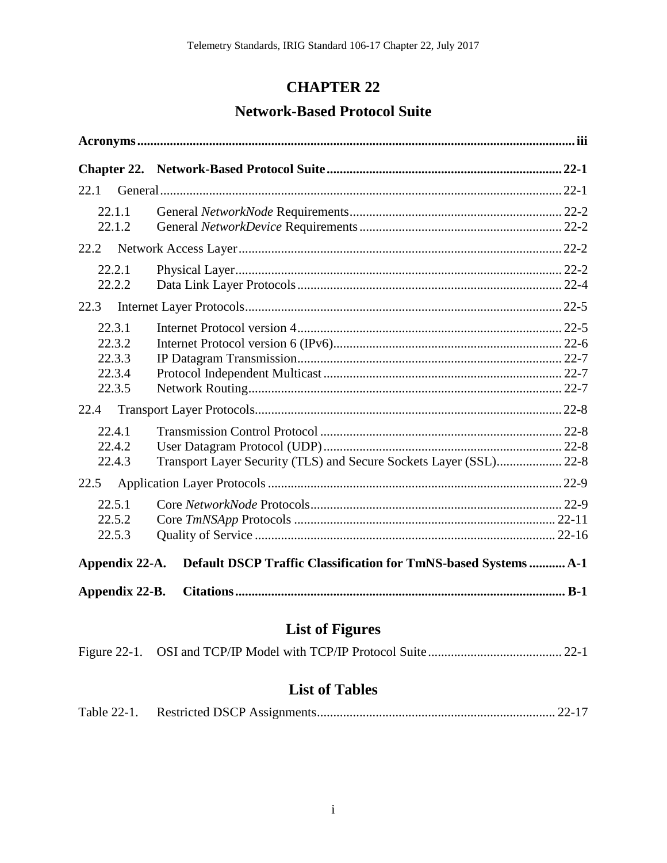# **CHAPTER 22**

# **Network-Based Protocol Suite**

| <b>Chapter 22.</b>                             |                                                                    |  |  |
|------------------------------------------------|--------------------------------------------------------------------|--|--|
| 22.1                                           |                                                                    |  |  |
| 22.1.1<br>22.1.2                               |                                                                    |  |  |
| 22.2                                           |                                                                    |  |  |
| 22.2.1<br>22.2.2                               |                                                                    |  |  |
| 22.3                                           |                                                                    |  |  |
| 22.3.1<br>22.3.2<br>22.3.3<br>22.3.4<br>22.3.5 |                                                                    |  |  |
| 22.4                                           |                                                                    |  |  |
| 22.4.1<br>22.4.2<br>22.4.3                     | Transport Layer Security (TLS) and Secure Sockets Layer (SSL) 22-8 |  |  |
| 22.5                                           |                                                                    |  |  |
| 22.5.1<br>22.5.2<br>22.5.3                     |                                                                    |  |  |
| Appendix 22-A.                                 | Default DSCP Traffic Classification for TmNS-based Systems  A-1    |  |  |
| Appendix 22-B.                                 |                                                                    |  |  |
|                                                | $T_{\rm{max}}$ $\sim$ $R_{\rm{max}}$                               |  |  |

# **List of Figures**

|--|--|--|--|

# **List of Tables**

|--|--|--|--|--|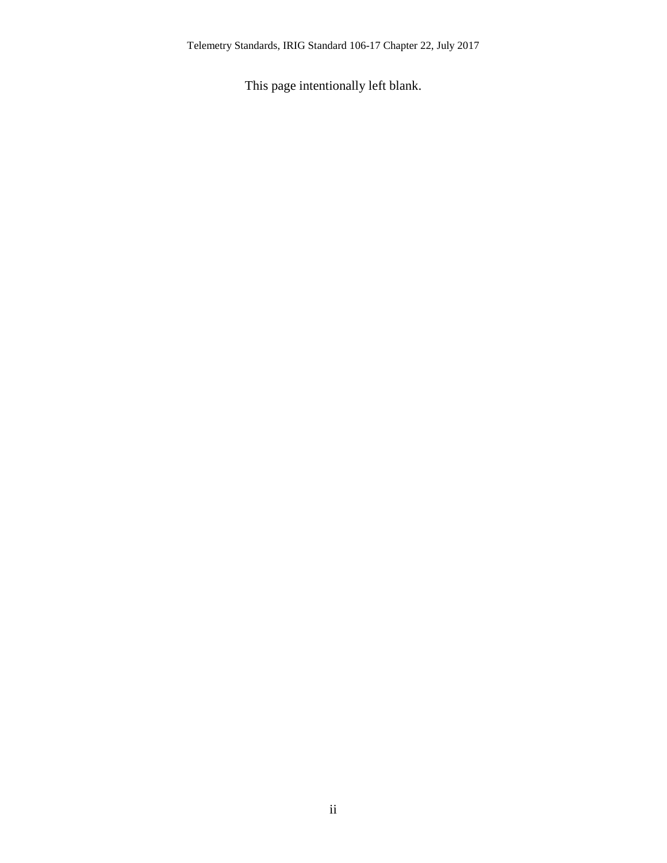This page intentionally left blank.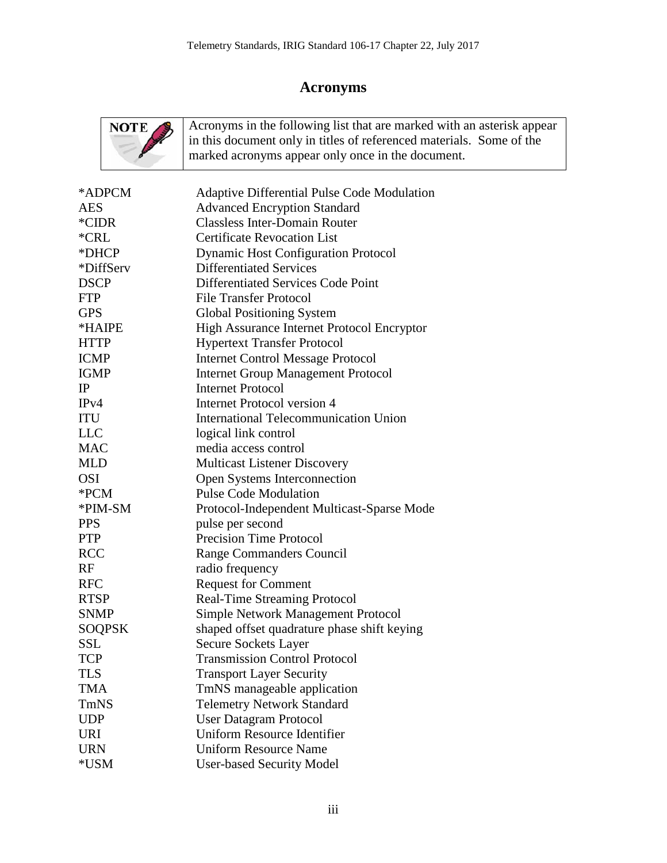# <span id="page-2-0"></span>**Acronyms**

| NOTE Acronyms in the following list that are marked with an asterisk appear in this document only in titles of referenced materials. Some of the |
|--------------------------------------------------------------------------------------------------------------------------------------------------|
|                                                                                                                                                  |
| marked acronyms appear only once in the document.                                                                                                |

| *ADPCM        | <b>Adaptive Differential Pulse Code Modulation</b> |
|---------------|----------------------------------------------------|
| <b>AES</b>    | <b>Advanced Encryption Standard</b>                |
| *CIDR         | <b>Classless Inter-Domain Router</b>               |
| *CRL          | <b>Certificate Revocation List</b>                 |
| *DHCP         | <b>Dynamic Host Configuration Protocol</b>         |
| *DiffServ     | <b>Differentiated Services</b>                     |
| <b>DSCP</b>   | Differentiated Services Code Point                 |
| <b>FTP</b>    | <b>File Transfer Protocol</b>                      |
| <b>GPS</b>    | <b>Global Positioning System</b>                   |
| *HAIPE        | High Assurance Internet Protocol Encryptor         |
| <b>HTTP</b>   | <b>Hypertext Transfer Protocol</b>                 |
| <b>ICMP</b>   | <b>Internet Control Message Protocol</b>           |
| <b>IGMP</b>   | <b>Internet Group Management Protocol</b>          |
| IP            | <b>Internet Protocol</b>                           |
| IPv4          | Internet Protocol version 4                        |
| <b>ITU</b>    | <b>International Telecommunication Union</b>       |
| <b>LLC</b>    | logical link control                               |
| <b>MAC</b>    | media access control                               |
| <b>MLD</b>    | <b>Multicast Listener Discovery</b>                |
| <b>OSI</b>    | Open Systems Interconnection                       |
| *PCM          | <b>Pulse Code Modulation</b>                       |
| *PIM-SM       | Protocol-Independent Multicast-Sparse Mode         |
| <b>PPS</b>    | pulse per second                                   |
| <b>PTP</b>    | <b>Precision Time Protocol</b>                     |
| <b>RCC</b>    | <b>Range Commanders Council</b>                    |
| RF            | radio frequency                                    |
| <b>RFC</b>    | <b>Request for Comment</b>                         |
| <b>RTSP</b>   | <b>Real-Time Streaming Protocol</b>                |
| <b>SNMP</b>   | Simple Network Management Protocol                 |
| <b>SOQPSK</b> | shaped offset quadrature phase shift keying        |
| <b>SSL</b>    | Secure Sockets Layer                               |
| <b>TCP</b>    | <b>Transmission Control Protocol</b>               |
| <b>TLS</b>    | <b>Transport Layer Security</b>                    |
| TMA           | TmNS manageable application                        |
| <b>TmNS</b>   | <b>Telemetry Network Standard</b>                  |
| <b>UDP</b>    | <b>User Datagram Protocol</b>                      |
| <b>URI</b>    | <b>Uniform Resource Identifier</b>                 |
| <b>URN</b>    | <b>Uniform Resource Name</b>                       |
| *USM          | <b>User-based Security Model</b>                   |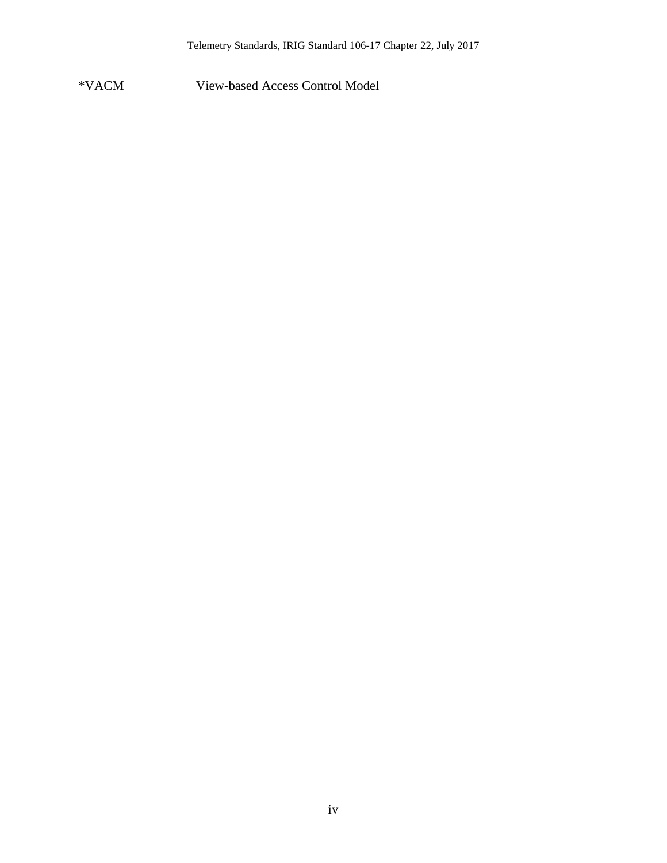\*VACM View-based Access Control Model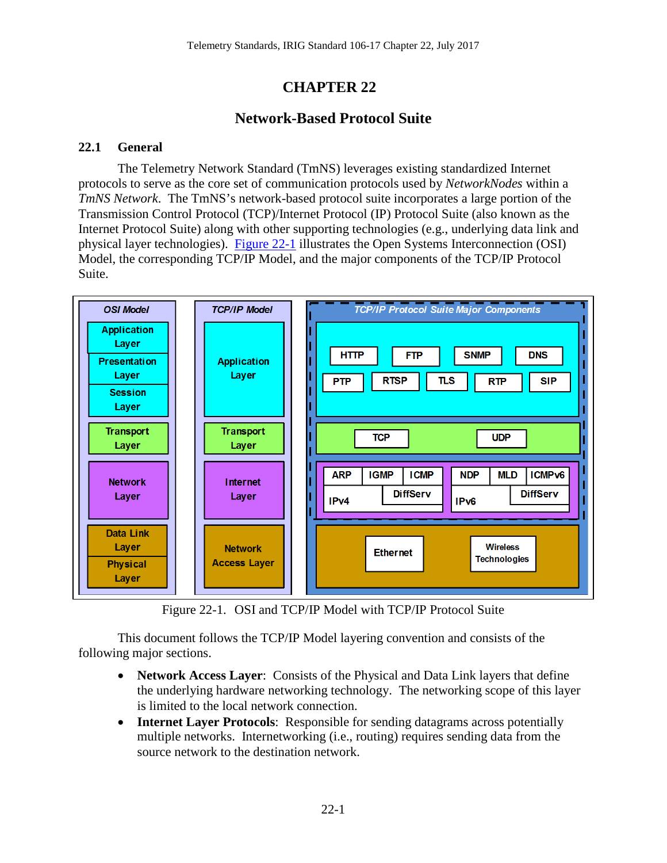# <span id="page-4-0"></span>**CHAPTER 22**

# **Network-Based Protocol Suite**

# <span id="page-4-1"></span>**22.1 General**

The Telemetry Network Standard (TmNS) leverages existing standardized Internet protocols to serve as the core set of communication protocols used by *NetworkNodes* within a *TmNS Network*. The TmNS's network-based protocol suite incorporates a large portion of the Transmission Control Protocol (TCP)/Internet Protocol (IP) Protocol Suite (also known as the Internet Protocol Suite) along with other supporting technologies (e.g., underlying data link and physical layer technologies). [Figure 22-1](#page-4-2) illustrates the Open Systems Interconnection (OSI) Model, the corresponding TCP/IP Model, and the major components of the TCP/IP Protocol Suite.



Figure 22-1. OSI and TCP/IP Model with TCP/IP Protocol Suite

<span id="page-4-2"></span>This document follows the TCP/IP Model layering convention and consists of the following major sections.

- **Network Access Layer:** Consists of the Physical and Data Link layers that define the underlying hardware networking technology. The networking scope of this layer is limited to the local network connection.
- **Internet Layer Protocols**: Responsible for sending datagrams across potentially multiple networks. Internetworking (i.e., routing) requires sending data from the source network to the destination network.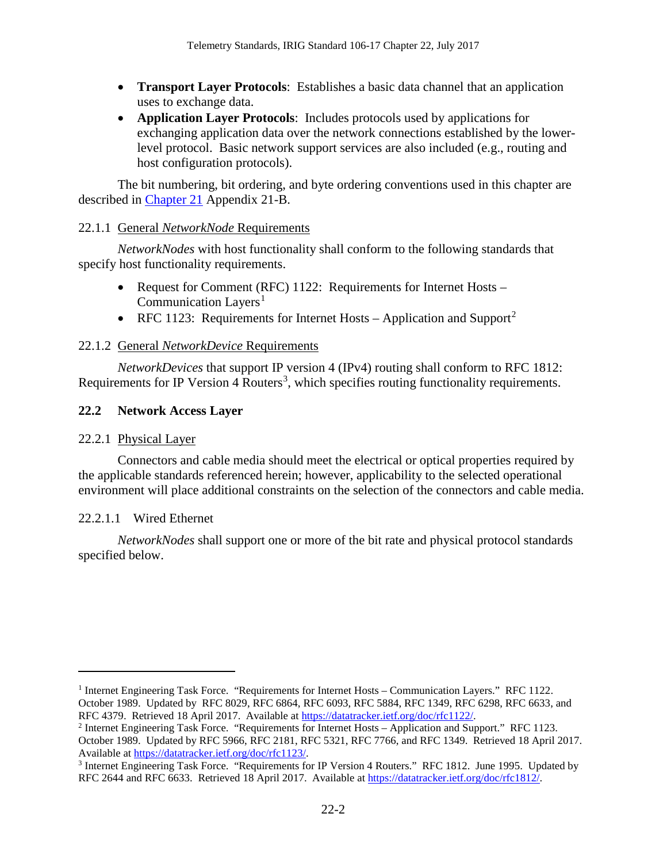- **Transport Layer Protocols**: Establishes a basic data channel that an application uses to exchange data.
- **Application Layer Protocols**: Includes protocols used by applications for exchanging application data over the network connections established by the lowerlevel protocol. Basic network support services are also included (e.g., routing and host configuration protocols).

The bit numbering, bit ordering, and byte ordering conventions used in this chapter are described in [Chapter 21](http://www.wsmr.army.mil/RCCsite/Documents/106-17_Telemetry_Standards/Chapter21.pdf) Appendix 21-B.

## <span id="page-5-0"></span>22.1.1 General *NetworkNode* Requirements

*NetworkNodes* with host functionality shall conform to the following standards that specify host functionality requirements.

- Request for Comment (RFC) 1122: Requirements for Internet Hosts Communication Layers<sup>[1](#page-5-4)</sup>
- RFC 11[2](#page-5-5)3: Requirements for Internet Hosts Application and Support<sup>2</sup>

## <span id="page-5-1"></span>22.1.2 General *NetworkDevice* Requirements

*NetworkDevices* that support IP version 4 (IPv4) routing shall conform to RFC 1812: Requirements for IP Version 4 Routers<sup>[3](#page-5-6)</sup>, which specifies routing functionality requirements.

## <span id="page-5-2"></span>**22.2 Network Access Layer**

### <span id="page-5-3"></span>22.2.1 Physical Layer

Connectors and cable media should meet the electrical or optical properties required by the applicable standards referenced herein; however, applicability to the selected operational environment will place additional constraints on the selection of the connectors and cable media.

# 22.2.1.1 Wired Ethernet

 $\overline{a}$ 

*NetworkNodes* shall support one or more of the bit rate and physical protocol standards specified below.

<span id="page-5-4"></span><sup>&</sup>lt;sup>1</sup> Internet Engineering Task Force. "Requirements for Internet Hosts – Communication Layers." RFC 1122. October 1989. Updated by RFC 8029, RFC 6864, RFC 6093, RFC 5884, RFC 1349, RFC 6298, RFC 6633, and RFC 4379. Retrieved 18 April 2017. Available at [https://datatracker.ietf.org/doc/rfc1122/.](https://datatracker.ietf.org/doc/rfc1122/)

<span id="page-5-5"></span><sup>2</sup> Internet Engineering Task Force. "Requirements for Internet Hosts – Application and Support." RFC 1123. October 1989. Updated by RFC 5966, RFC 2181, RFC 5321, RFC 7766, and RFC 1349. Retrieved 18 April 2017. Available at [https://datatracker.ietf.org/doc/rfc1123/.](https://datatracker.ietf.org/doc/rfc1123/)

<span id="page-5-6"></span><sup>&</sup>lt;sup>3</sup> Internet Engineering Task Force. "Requirements for IP Version 4 Routers." RFC 1812. June 1995. Updated by RFC 2644 and RFC 6633. Retrieved 18 April 2017. Available at [https://datatracker.ietf.org/doc/rfc1812/.](https://datatracker.ietf.org/doc/rfc1812/)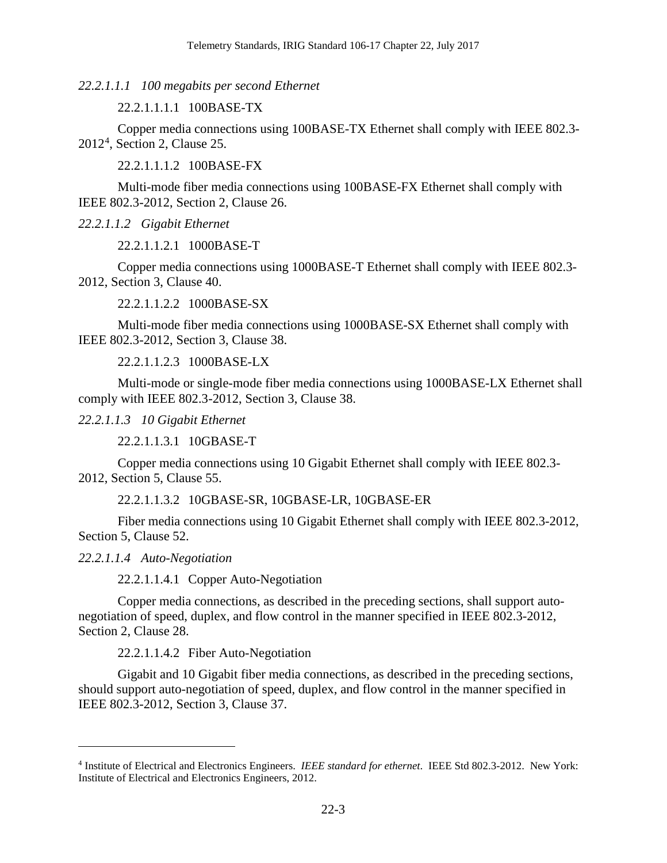*22.2.1.1.1 100 megabits per second Ethernet*

22.2.1.1.1.1 100BASE-TX

Copper media connections using 100BASE-TX Ethernet shall comply with IEEE 802.3- 2012[4](#page-6-0) , Section 2, Clause 25.

22.2.1.1.1.2 100BASE-FX

Multi-mode fiber media connections using 100BASE-FX Ethernet shall comply with IEEE 802.3-2012, Section 2, Clause 26.

*22.2.1.1.2 Gigabit Ethernet*

22.2.1.1.2.1 1000BASE-T

Copper media connections using 1000BASE-T Ethernet shall comply with IEEE 802.3- 2012, Section 3, Clause 40.

22.2.1.1.2.2 1000BASE-SX

Multi-mode fiber media connections using 1000BASE-SX Ethernet shall comply with IEEE 802.3-2012, Section 3, Clause 38.

22.2.1.1.2.3 1000BASE-LX

Multi-mode or single-mode fiber media connections using 1000BASE-LX Ethernet shall comply with IEEE 802.3-2012, Section 3, Clause 38.

*22.2.1.1.3 10 Gigabit Ethernet*

22.2.1.1.3.1 10GBASE-T

Copper media connections using 10 Gigabit Ethernet shall comply with IEEE 802.3- 2012, Section 5, Clause 55.

22.2.1.1.3.2 10GBASE-SR, 10GBASE-LR, 10GBASE-ER

Fiber media connections using 10 Gigabit Ethernet shall comply with IEEE 802.3-2012, Section 5, Clause 52.

*22.2.1.1.4 Auto-Negotiation*

 $\overline{a}$ 

22.2.1.1.4.1 Copper Auto-Negotiation

Copper media connections, as described in the preceding sections, shall support autonegotiation of speed, duplex, and flow control in the manner specified in IEEE 802.3-2012, Section 2, Clause 28.

22.2.1.1.4.2 Fiber Auto-Negotiation

Gigabit and 10 Gigabit fiber media connections, as described in the preceding sections, should support auto-negotiation of speed, duplex, and flow control in the manner specified in IEEE 802.3-2012, Section 3, Clause 37.

<span id="page-6-0"></span><sup>4</sup> Institute of Electrical and Electronics Engineers. *IEEE standard for ethernet*. IEEE Std 802.3-2012. New York: Institute of Electrical and Electronics Engineers, 2012.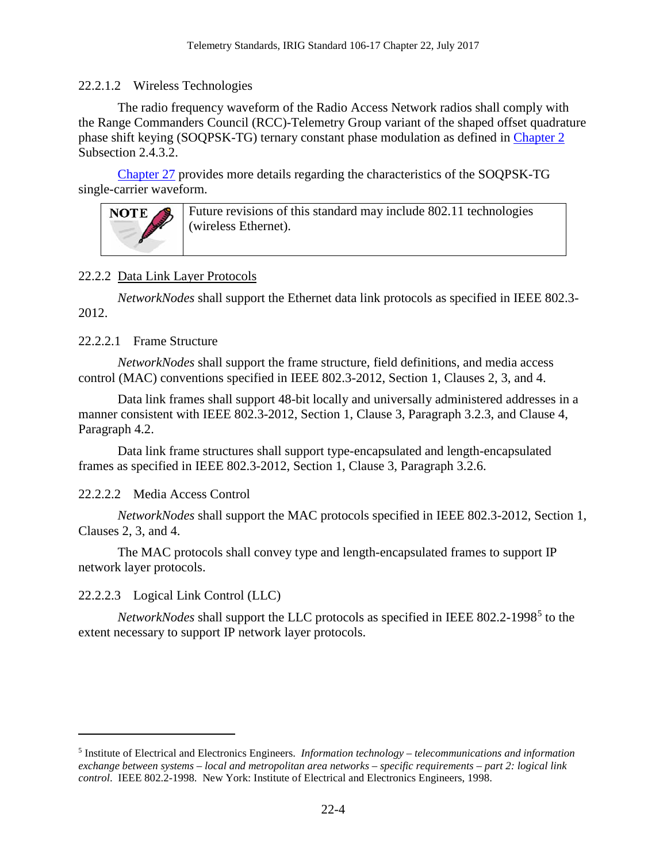#### 22.2.1.2 Wireless Technologies

The radio frequency waveform of the Radio Access Network radios shall comply with the Range Commanders Council (RCC)-Telemetry Group variant of the shaped offset quadrature phase shift keying (SOQPSK-TG) ternary constant phase modulation as defined in [Chapter 2](http://www.wsmr.army.mil/RCCsite/Documents/106-17_Telemetry_Standards/Chapter2.pdf) Subsection 2.4.3.2.

[Chapter 27](http://www.wsmr.army.mil/RCCsite/Documents/106-17_Telemetry_Standards/Chapter27.pdf) provides more details regarding the characteristics of the SOQPSK-TG single-carrier waveform.



## <span id="page-7-0"></span>22.2.2 Data Link Layer Protocols

*NetworkNodes* shall support the Ethernet data link protocols as specified in IEEE 802.3- 2012.

#### 22.2.2.1 Frame Structure

*NetworkNodes* shall support the frame structure, field definitions, and media access control (MAC) conventions specified in IEEE 802.3-2012, Section 1, Clauses 2, 3, and 4.

Data link frames shall support 48-bit locally and universally administered addresses in a manner consistent with IEEE 802.3-2012, Section 1, Clause 3, Paragraph 3.2.3, and Clause 4, Paragraph 4.2.

Data link frame structures shall support type-encapsulated and length-encapsulated frames as specified in IEEE 802.3-2012, Section 1, Clause 3, Paragraph 3.2.6.

# 22.2.2.2 Media Access Control

*NetworkNodes* shall support the MAC protocols specified in IEEE 802.3-2012, Section 1, Clauses 2, 3, and 4.

The MAC protocols shall convey type and length-encapsulated frames to support IP network layer protocols.

# 22.2.2.3 Logical Link Control (LLC)

 $\overline{a}$ 

*NetworkNodes* shall support the LLC protocols as specified in IEEE 802.2-1998<sup>[5](#page-7-1)</sup> to the extent necessary to support IP network layer protocols.

<span id="page-7-1"></span><sup>5</sup> Institute of Electrical and Electronics Engineers. *Information technology – telecommunications and information exchange between systems – local and metropolitan area networks – specific requirements – part 2: logical link control*. IEEE 802.2-1998. New York: Institute of Electrical and Electronics Engineers, 1998.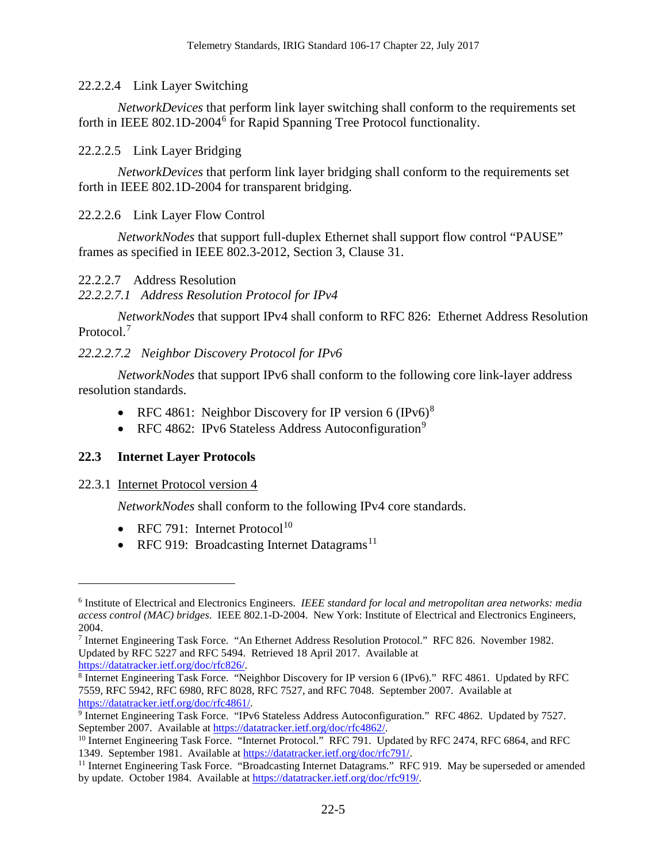#### 22.2.2.4 Link Layer Switching

*NetworkDevices* that perform link layer switching shall conform to the requirements set forth in IEEE 802.1D-2004<sup>[6](#page-8-2)</sup> for Rapid Spanning Tree Protocol functionality.

#### 22.2.2.5 Link Layer Bridging

*NetworkDevices* that perform link layer bridging shall conform to the requirements set forth in IEEE 802.1D-2004 for transparent bridging.

#### 22.2.2.6 Link Layer Flow Control

*NetworkNodes* that support full-duplex Ethernet shall support flow control "PAUSE" frames as specified in IEEE 802.3-2012, Section 3, Clause 31.

#### 22.2.2.7 Address Resolution

*22.2.2.7.1 Address Resolution Protocol for IPv4*

*NetworkNodes* that support IPv4 shall conform to RFC 826: Ethernet Address Resolution Protocol.<sup>[7](#page-8-3)</sup>

#### <span id="page-8-8"></span>*22.2.2.7.2 Neighbor Discovery Protocol for IPv6*

*NetworkNodes* that support IPv6 shall conform to the following core link-layer address resolution standards.

- RFC 4[8](#page-8-4)61: Neighbor Discovery for IP version 6  $(IPv6)^8$
- RFC 4862: IPv6 Stateless Address Autoconfiguration<sup>[9](#page-8-5)</sup>

#### <span id="page-8-0"></span>**22.3 Internet Layer Protocols**

#### <span id="page-8-1"></span>22.3.1 Internet Protocol version 4

*NetworkNodes* shall conform to the following IPv4 core standards.

- RFC 791: Internet Protocol $^{10}$  $^{10}$  $^{10}$
- RFC 919: Broadcasting Internet Datagrams<sup>[11](#page-8-7)</sup>

[https://datatracker.ietf.org/doc/rfc826/.](https://datatracker.ietf.org/doc/rfc826/)

 $\overline{a}$ 

<span id="page-8-2"></span><sup>6</sup> Institute of Electrical and Electronics Engineers. *IEEE standard for local and metropolitan area networks: media access control (MAC) bridges*. IEEE 802.1-D-2004. New York: Institute of Electrical and Electronics Engineers, 2004.

<span id="page-8-3"></span><sup>7</sup> Internet Engineering Task Force. "An Ethernet Address Resolution Protocol." RFC 826. November 1982. Updated by RFC 5227 and RFC 5494. Retrieved 18 April 2017. Available at

<span id="page-8-4"></span><sup>8</sup> Internet Engineering Task Force. "Neighbor Discovery for IP version 6 (IPv6)." RFC 4861. Updated by RFC 7559, RFC 5942, RFC 6980, RFC 8028, RFC 7527, and RFC 7048. September 2007. Available at [https://datatracker.ietf.org/doc/rfc4861/.](https://datatracker.ietf.org/doc/rfc4861/)

<span id="page-8-5"></span><sup>9</sup> Internet Engineering Task Force. "IPv6 Stateless Address Autoconfiguration." RFC 4862. Updated by 7527. September 2007. Available at [https://datatracker.ietf.org/doc/rfc4862/.](https://datatracker.ietf.org/doc/rfc4862/)

<span id="page-8-6"></span><sup>&</sup>lt;sup>10</sup> Internet Engineering Task Force. "Internet Protocol." RFC 791. Updated by RFC 2474, RFC 6864, and RFC 1349. September 1981. Available at [https://datatracker.ietf.org/doc/rfc791/.](https://datatracker.ietf.org/doc/rfc791/)

<span id="page-8-7"></span><sup>&</sup>lt;sup>11</sup> Internet Engineering Task Force. "Broadcasting Internet Datagrams." RFC 919. May be superseded or amended by update. October 1984. Available at [https://datatracker.ietf.org/doc/rfc919/.](https://datatracker.ietf.org/doc/rfc919/)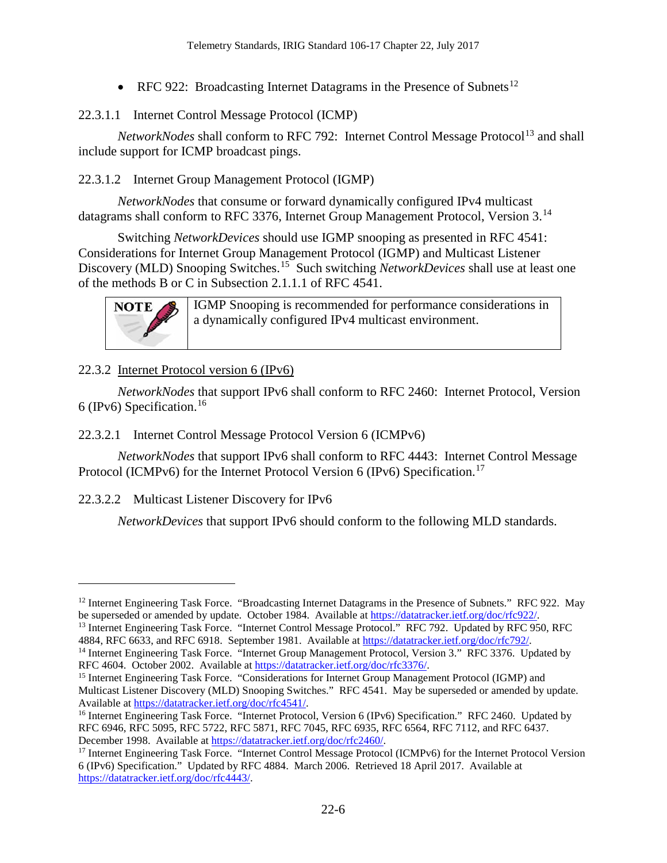• RFC 922: Broadcasting Internet Datagrams in the Presence of Subnets<sup>[12](#page-9-1)</sup>

# 22.3.1.1 Internet Control Message Protocol (ICMP)

*NetworkNodes* shall conform to RFC 792: Internet Control Message Protocol<sup>[13](#page-9-2)</sup> and shall include support for ICMP broadcast pings.

22.3.1.2 Internet Group Management Protocol (IGMP)

*NetworkNodes* that consume or forward dynamically configured IPv4 multicast datagrams shall conform to RFC 3376, Internet Group Management Protocol, Version 3.<sup>[14](#page-9-3)</sup>

Switching *NetworkDevices* should use IGMP snooping as presented in RFC 4541: Considerations for Internet Group Management Protocol (IGMP) and Multicast Listener Discovery (MLD) Snooping Switches. [15](#page-9-4) Such switching *NetworkDevices* shall use at least one of the methods B or C in Subsection 2.1.1.1 of RFC 4541.



 $\overline{a}$ 

IGMP Snooping is recommended for performance considerations in a dynamically configured IPv4 multicast environment.

# <span id="page-9-0"></span>22.3.2 Internet Protocol version 6 (IPv6)

*NetworkNodes* that support IPv6 shall conform to RFC 2460: Internet Protocol, Version 6 (IPv6) Specification. [16](#page-9-5)

22.3.2.1 Internet Control Message Protocol Version 6 (ICMPv6)

*NetworkNodes* that support IPv6 shall conform to RFC 4443: Internet Control Message Protocol (ICMPv6) for the Internet Protocol Version 6 (IPv6) Specification.<sup>[17](#page-9-6)</sup>

22.3.2.2 Multicast Listener Discovery for IPv6

*NetworkDevices* that support IPv6 should conform to the following MLD standards.

<span id="page-9-1"></span><sup>&</sup>lt;sup>12</sup> Internet Engineering Task Force. "Broadcasting Internet Datagrams in the Presence of Subnets." RFC 922. May be superseded or amended by update. October 1984. Available at [https://datatracker.ietf.org/doc/rfc922/.](https://datatracker.ietf.org/doc/rfc922/)

<span id="page-9-2"></span><sup>&</sup>lt;sup>13</sup> Internet Engineering Task Force. "Internet Control Message Protocol." RFC 792. Updated by RFC 950, RFC 4884, RFC 6633, and RFC 6918. September 1981. Available at [https://datatracker.ietf.org/doc/rfc792/.](https://datatracker.ietf.org/doc/rfc792/)

<span id="page-9-3"></span><sup>&</sup>lt;sup>14</sup> Internet Engineering Task Force. "Internet Group Management Protocol, Version 3." RFC 3376. Updated by RFC 4604. October 2002. Available at [https://datatracker.ietf.org/doc/rfc3376/.](https://datatracker.ietf.org/doc/rfc3376/)

<span id="page-9-4"></span><sup>&</sup>lt;sup>15</sup> Internet Engineering Task Force. "Considerations for Internet Group Management Protocol (IGMP) and Multicast Listener Discovery (MLD) Snooping Switches." RFC 4541. May be superseded or amended by update. Available at [https://datatracker.ietf.org/doc/rfc4541/.](https://datatracker.ietf.org/doc/rfc4541/)

<span id="page-9-5"></span><sup>&</sup>lt;sup>16</sup> Internet Engineering Task Force. "Internet Protocol, Version 6 (IPv6) Specification." RFC 2460. Updated by RFC 6946, RFC 5095, RFC 5722, RFC 5871, RFC 7045, RFC 6935, RFC 6564, RFC 7112, and RFC 6437. December 1998. Available at [https://datatracker.ietf.org/doc/rfc2460/.](https://datatracker.ietf.org/doc/rfc2460/)

<span id="page-9-6"></span><sup>17</sup> Internet Engineering Task Force. "Internet Control Message Protocol (ICMPv6) for the Internet Protocol Version 6 (IPv6) Specification." Updated by RFC 4884. March 2006. Retrieved 18 April 2017. Available at [https://datatracker.ietf.org/doc/rfc4443/.](https://datatracker.ietf.org/doc/rfc4443/)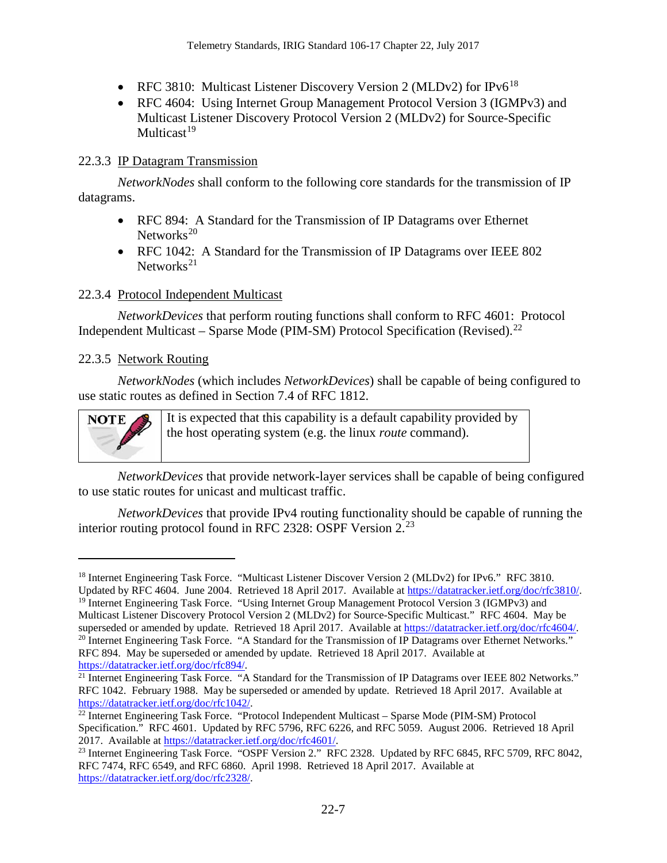- RFC 3810: Multicast Listener Discovery Version 2 (MLDv2) for IPv6<sup>[18](#page-10-3)</sup>
- RFC 4604: Using Internet Group Management Protocol Version 3 (IGMPv3) and Multicast Listener Discovery Protocol Version 2 (MLDv2) for Source-Specific Multicast $19$

## <span id="page-10-0"></span>22.3.3 IP Datagram Transmission

*NetworkNodes* shall conform to the following core standards for the transmission of IP datagrams.

- RFC 894: A Standard for the Transmission of IP Datagrams over Ethernet  $Networks<sup>20</sup>$  $Networks<sup>20</sup>$  $Networks<sup>20</sup>$
- RFC 1042: A Standard for the Transmission of IP Datagrams over IEEE 802 Networks $^{21}$  $^{21}$  $^{21}$

## <span id="page-10-1"></span>22.3.4 Protocol Independent Multicast

*NetworkDevices* that perform routing functions shall conform to RFC 4601: Protocol Independent Multicast – Sparse Mode (PIM-SM) Protocol Specification (Revised).<sup>[22](#page-10-7)</sup>

#### <span id="page-10-2"></span>22.3.5 Network Routing

*NetworkNodes* (which includes *NetworkDevices*) shall be capable of being configured to use static routes as defined in Section 7.4 of RFC 1812.



 $\overline{a}$ 

It is expected that this capability is a default capability provided by the host operating system (e.g. the linux *route* command).

*NetworkDevices* that provide network-layer services shall be capable of being configured to use static routes for unicast and multicast traffic.

*NetworkDevices* that provide IPv4 routing functionality should be capable of running the interior routing protocol found in RFC [23](#page-10-8)28: OSPF Version  $2^{23}$ 

<span id="page-10-4"></span>Updated by RFC 4604. June 2004. Retrieved 18 April 2017. Available at [https://datatracker.ietf.org/doc/rfc3810/.](https://datatracker.ietf.org/doc/rfc3810/) <sup>19</sup> Internet Engineering Task Force. "Using Internet Group Management Protocol Version 3 (IGMPv3) and Multicast Listener Discovery Protocol Version 2 (MLDv2) for Source-Specific Multicast." RFC 4604. May be superseded or amended by update. Retrieved 18 April 2017. Available at [https://datatracker.ietf.org/doc/rfc4604/.](https://datatracker.ietf.org/doc/rfc4604/) <sup>20</sup> Internet Engineering Task Force. "A Standard for the Transmission of IP Datagrams over Ethernet Networks." RFC 894. May be superseded or amended by update. Retrieved 18 April 2017. Available at [https://datatracker.ietf.org/doc/rfc894/.](https://datatracker.ietf.org/doc/rfc894/)

<span id="page-10-3"></span><sup>18</sup> Internet Engineering Task Force. "Multicast Listener Discover Version 2 (MLDv2) for IPv6." RFC 3810.

<span id="page-10-6"></span><span id="page-10-5"></span><sup>&</sup>lt;sup>21</sup> Internet Engineering Task Force. "A Standard for the Transmission of IP Datagrams over IEEE 802 Networks." RFC 1042. February 1988. May be superseded or amended by update. Retrieved 18 April 2017. Available at [https://datatracker.ietf.org/doc/rfc1042/.](https://datatracker.ietf.org/doc/rfc1042/)

<span id="page-10-7"></span> $^{22}$  Internet Engineering Task Force. "Protocol Independent Multicast – Sparse Mode (PIM-SM) Protocol Specification." RFC 4601. Updated by RFC 5796, RFC 6226, and RFC 5059. August 2006. Retrieved 18 April 2017. Available at [https://datatracker.ietf.org/doc/rfc4601/.](https://datatracker.ietf.org/doc/rfc4601/)

<span id="page-10-8"></span><sup>&</sup>lt;sup>23</sup> Internet Engineering Task Force. "OSPF Version 2." RFC 2328. Updated by RFC 6845, RFC 5709, RFC 8042, RFC 7474, RFC 6549, and RFC 6860. April 1998. Retrieved 18 April 2017. Available at [https://datatracker.ietf.org/doc/rfc2328/.](https://datatracker.ietf.org/doc/rfc2328/)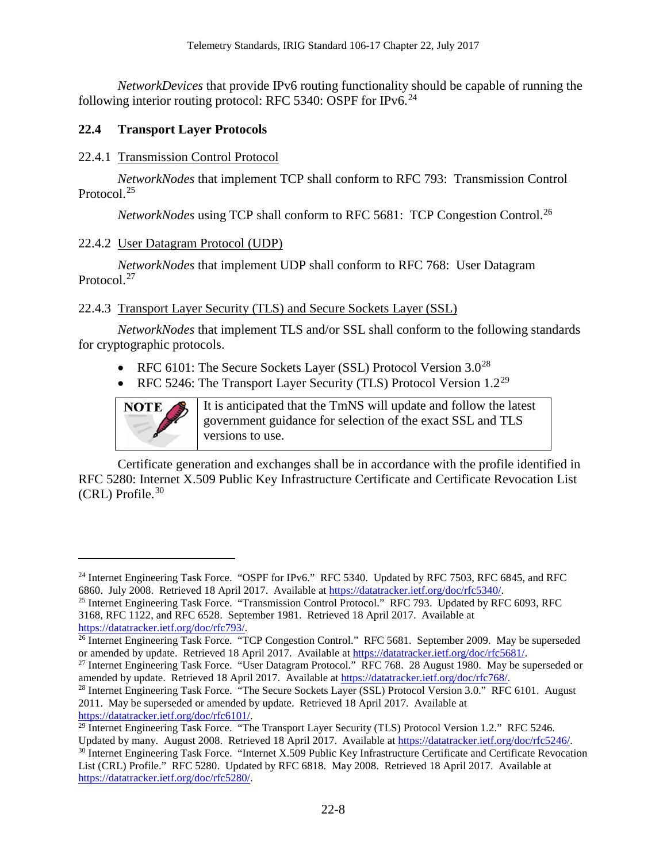*NetworkDevices* that provide IPv6 routing functionality should be capable of running the following interior routing protocol: RFC 5340: OSPF for IPv6.<sup>[24](#page-11-4)</sup>

# <span id="page-11-0"></span>**22.4 Transport Layer Protocols**

## <span id="page-11-1"></span>22.4.1 Transmission Control Protocol

*NetworkNodes* that implement TCP shall conform to RFC 793: Transmission Control Protocol.<sup>[25](#page-11-5)</sup>

*NetworkNodes* using TCP shall conform to RFC 5681: TCP Congestion Control. [26](#page-11-6)

## <span id="page-11-2"></span>22.4.2 User Datagram Protocol (UDP)

 $\overline{a}$ 

*NetworkNodes* that implement UDP shall conform to RFC 768: User Datagram Protocol.<sup>[27](#page-11-7)</sup>

# <span id="page-11-3"></span>22.4.3 Transport Layer Security (TLS) and Secure Sockets Layer (SSL)

*NetworkNodes* that implement TLS and/or SSL shall conform to the following standards for cryptographic protocols.

- RFC 6101: The Secure Sockets Layer (SSL) Protocol Version  $3.0^{28}$  $3.0^{28}$  $3.0^{28}$
- RFC 5246: The Transport Layer Security (TLS) Protocol Version  $1.2^{29}$  $1.2^{29}$  $1.2^{29}$



Certificate generation and exchanges shall be in accordance with the profile identified in RFC 5280: Internet X.509 Public Key Infrastructure Certificate and Certificate Revocation List (CRL) Profile. [30](#page-11-10)

<span id="page-11-4"></span><sup>&</sup>lt;sup>24</sup> Internet Engineering Task Force. "OSPF for IPv6." RFC 5340. Updated by RFC 7503, RFC 6845, and RFC 6860. July 2008. Retrieved 18 April 2017. Available at [https://datatracker.ietf.org/doc/rfc5340/.](https://datatracker.ietf.org/doc/rfc5340/)

<span id="page-11-5"></span><sup>&</sup>lt;sup>25</sup> Internet Engineering Task Force. "Transmission Control Protocol." RFC 793. Updated by RFC 6093, RFC 3168, RFC 1122, and RFC 6528. September 1981. Retrieved 18 April 2017. Available at [https://datatracker.ietf.org/doc/rfc793/.](https://datatracker.ietf.org/doc/rfc793/)

<span id="page-11-6"></span><sup>&</sup>lt;sup>26</sup> Internet Engineering Task Force. "TCP Congestion Control." RFC 5681. September 2009. May be superseded or amended by update. Retrieved 18 April 2017. Available at [https://datatracker.ietf.org/doc/rfc5681/.](https://datatracker.ietf.org/doc/rfc5681/)

<span id="page-11-7"></span><sup>&</sup>lt;sup>27</sup> Internet Engineering Task Force. "User Datagram Protocol." RFC 768. 28 August 1980. May be superseded or amended by update. Retrieved 18 April 2017. Available at [https://datatracker.ietf.org/doc/rfc768/.](https://datatracker.ietf.org/doc/rfc768/)

<span id="page-11-8"></span><sup>&</sup>lt;sup>28</sup> Internet Engineering Task Force. "The Secure Sockets Layer (SSL) Protocol Version 3.0." RFC 6101. August 2011. May be superseded or amended by update. Retrieved 18 April 2017. Available at [https://datatracker.ietf.org/doc/rfc6101/.](https://datatracker.ietf.org/doc/rfc6101/)

<span id="page-11-9"></span><sup>&</sup>lt;sup>29</sup> Internet Engineering Task Force. "The Transport Layer Security (TLS) Protocol Version 1.2." RFC 5246.

Updated by many. August 2008. Retrieved 18 April 2017. Available a[t https://datatracker.ietf.org/doc/rfc5246/.](https://datatracker.ietf.org/doc/rfc5246/)

<span id="page-11-10"></span><sup>&</sup>lt;sup>30</sup> Internet Engineering Task Force. "Internet X.509 Public Key Infrastructure Certificate and Certificate Revocation List (CRL) Profile." RFC 5280. Updated by RFC 6818. May 2008. Retrieved 18 April 2017. Available at [https://datatracker.ietf.org/doc/rfc5280/.](https://datatracker.ietf.org/doc/rfc5280/)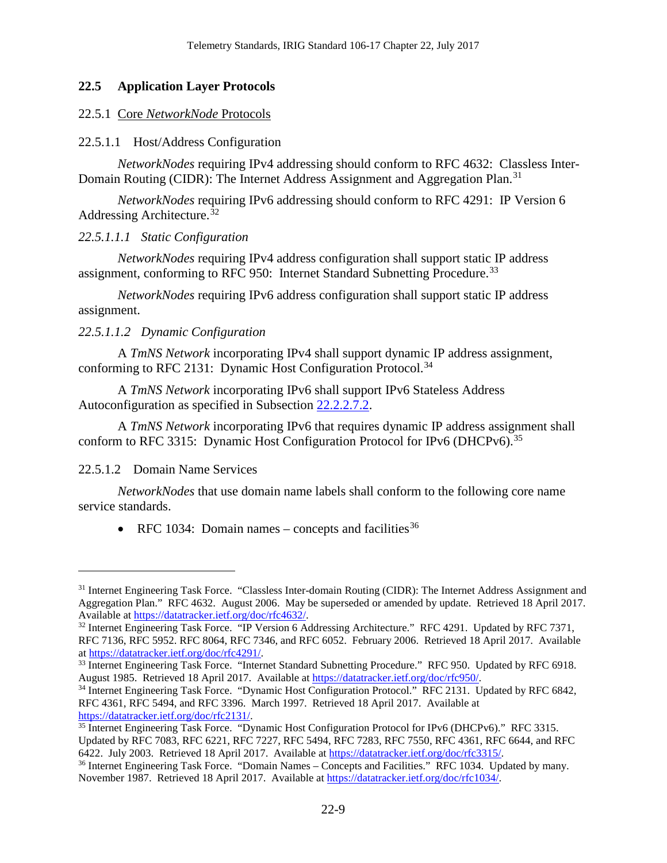# <span id="page-12-0"></span>**22.5 Application Layer Protocols**

#### <span id="page-12-1"></span>22.5.1 Core *NetworkNode* Protocols

#### 22.5.1.1 Host/Address Configuration

*NetworkNodes* requiring IPv4 addressing should conform to RFC 4632: Classless Inter-Domain Routing (CIDR): The Internet Address Assignment and Aggregation Plan.<sup>[31](#page-12-2)</sup>

*NetworkNodes* requiring IPv6 addressing should conform to RFC 4291: IP Version 6 Addressing Architecture. [32](#page-12-3)

#### *22.5.1.1.1 Static Configuration*

*NetworkNodes* requiring IPv4 address configuration shall support static IP address assignment, conforming to RFC 950: Internet Standard Subnetting Procedure.<sup>[33](#page-12-4)</sup>

*NetworkNodes* requiring IPv6 address configuration shall support static IP address assignment.

#### *22.5.1.1.2 Dynamic Configuration*

A *TmNS Network* incorporating IPv4 shall support dynamic IP address assignment, conforming to RFC 2131: Dynamic Host Configuration Protocol.<sup>[34](#page-12-5)</sup>

A *TmNS Network* incorporating IPv6 shall support IPv6 Stateless Address Autoconfiguration as specified in Subsection [22.2.2.7.2.](#page-8-8)

A *TmNS Network* incorporating IPv6 that requires dynamic IP address assignment shall conform to RFC 3315: Dynamic Host Configuration Protocol for IPv6 (DHCPv6).<sup>[35](#page-12-6)</sup>

#### 22.5.1.2 Domain Name Services

 $\overline{a}$ 

*NetworkNodes* that use domain name labels shall conform to the following core name service standards.

• RFC 1034: Domain names – concepts and facilities  $36$ 

<span id="page-12-4"></span><sup>33</sup> Internet Engineering Task Force. "Internet Standard Subnetting Procedure." RFC 950. Updated by RFC 6918. August 1985. Retrieved 18 April 2017. Available at [https://datatracker.ietf.org/doc/rfc950/.](https://datatracker.ietf.org/doc/rfc950/)

<span id="page-12-5"></span><sup>34</sup> Internet Engineering Task Force. "Dynamic Host Configuration Protocol." RFC 2131. Updated by RFC 6842, RFC 4361, RFC 5494, and RFC 3396. March 1997. Retrieved 18 April 2017. Available at [https://datatracker.ietf.org/doc/rfc2131/.](https://datatracker.ietf.org/doc/rfc2131/)

<span id="page-12-2"></span><sup>&</sup>lt;sup>31</sup> Internet Engineering Task Force. "Classless Inter-domain Routing (CIDR): The Internet Address Assignment and Aggregation Plan." RFC 4632. August 2006. May be superseded or amended by update. Retrieved 18 April 2017. Available at [https://datatracker.ietf.org/doc/rfc4632/.](https://datatracker.ietf.org/doc/rfc4632/)

<span id="page-12-3"></span><sup>&</sup>lt;sup>32</sup> Internet Engineering Task Force. "IP Version 6 Addressing Architecture." RFC 4291. Updated by RFC 7371, RFC 7136, RFC 5952. RFC 8064, RFC 7346, and RFC 6052. February 2006. Retrieved 18 April 2017. Available a[t https://datatracker.ietf.org/doc/rfc4291/.](https://datatracker.ietf.org/doc/rfc4291/)

<span id="page-12-6"></span><sup>&</sup>lt;sup>35</sup> Internet Engineering Task Force. "Dynamic Host Configuration Protocol for IPv6 (DHCPv6)." RFC 3315. Updated by RFC 7083, RFC 6221, RFC 7227, RFC 5494, RFC 7283, RFC 7550, RFC 4361, RFC 6644, and RFC 6422. July 2003. Retrieved 18 April 2017. Available at [https://datatracker.ietf.org/doc/rfc3315/.](https://datatracker.ietf.org/doc/rfc3315/)

<span id="page-12-7"></span><sup>36</sup> Internet Engineering Task Force. "Domain Names – Concepts and Facilities." RFC 1034. Updated by many. November 1987. Retrieved 18 April 2017. Available at [https://datatracker.ietf.org/doc/rfc1034/.](https://datatracker.ietf.org/doc/rfc1034/)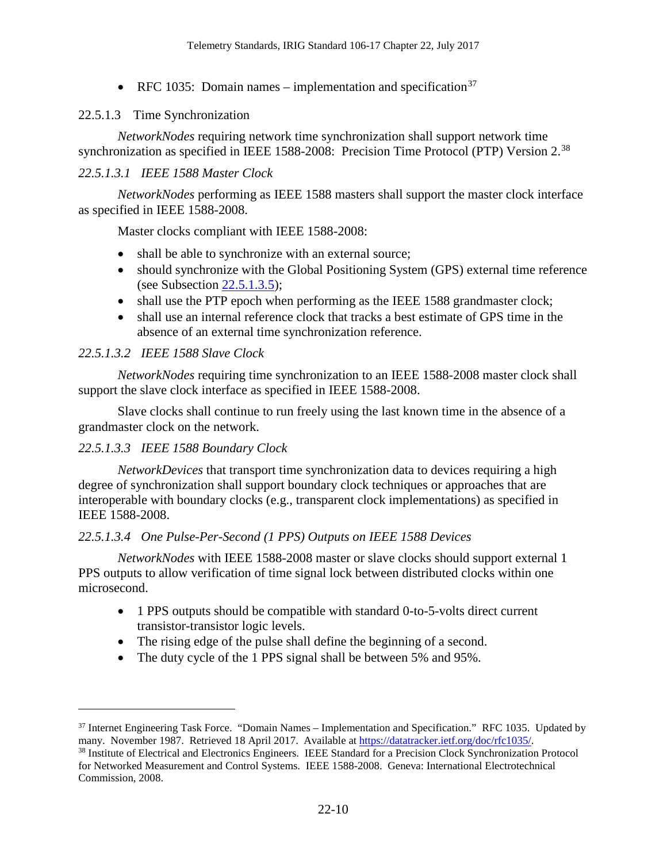• RFC 1035: Domain names – implementation and specification<sup>[37](#page-13-0)</sup>

# 22.5.1.3 Time Synchronization

*NetworkNodes* requiring network time synchronization shall support network time synchronization as specified in IEEE 1588-2008: Precision Time Protocol (PTP) Version 2.<sup>[38](#page-13-1)</sup>

## *22.5.1.3.1 IEEE 1588 Master Clock*

*NetworkNodes* performing as IEEE 1588 masters shall support the master clock interface as specified in IEEE 1588-2008.

Master clocks compliant with IEEE 1588-2008:

- shall be able to synchronize with an external source;
- should synchronize with the Global Positioning System (GPS) external time reference (see Subsection [22.5.1.3.5\)](#page-14-1);
- shall use the PTP epoch when performing as the IEEE 1588 grandmaster clock;
- shall use an internal reference clock that tracks a best estimate of GPS time in the absence of an external time synchronization reference.

# *22.5.1.3.2 IEEE 1588 Slave Clock*

*NetworkNodes* requiring time synchronization to an IEEE 1588-2008 master clock shall support the slave clock interface as specified in IEEE 1588-2008.

Slave clocks shall continue to run freely using the last known time in the absence of a grandmaster clock on the network.

#### *22.5.1.3.3 IEEE 1588 Boundary Clock*

 $\overline{a}$ 

*NetworkDevices* that transport time synchronization data to devices requiring a high degree of synchronization shall support boundary clock techniques or approaches that are interoperable with boundary clocks (e.g., transparent clock implementations) as specified in IEEE 1588-2008.

#### *22.5.1.3.4 One Pulse-Per-Second (1 PPS) Outputs on IEEE 1588 Devices*

*NetworkNodes* with IEEE 1588-2008 master or slave clocks should support external 1 PPS outputs to allow verification of time signal lock between distributed clocks within one microsecond.

- 1 PPS outputs should be compatible with standard 0-to-5-volts direct current transistor-transistor logic levels.
- The rising edge of the pulse shall define the beginning of a second.
- The duty cycle of the 1 PPS signal shall be between 5% and 95%.

<span id="page-13-0"></span><sup>&</sup>lt;sup>37</sup> Internet Engineering Task Force. "Domain Names – Implementation and Specification." RFC 1035. Updated by many. November 1987. Retrieved 18 April 2017. Available at [https://datatracker.ietf.org/doc/rfc1035/.](https://datatracker.ietf.org/doc/rfc1035/)

<span id="page-13-1"></span><sup>38</sup> Institute of Electrical and Electronics Engineers. IEEE Standard for a Precision Clock Synchronization Protocol for Networked Measurement and Control Systems. IEEE 1588-2008. Geneva: International Electrotechnical Commission, 2008.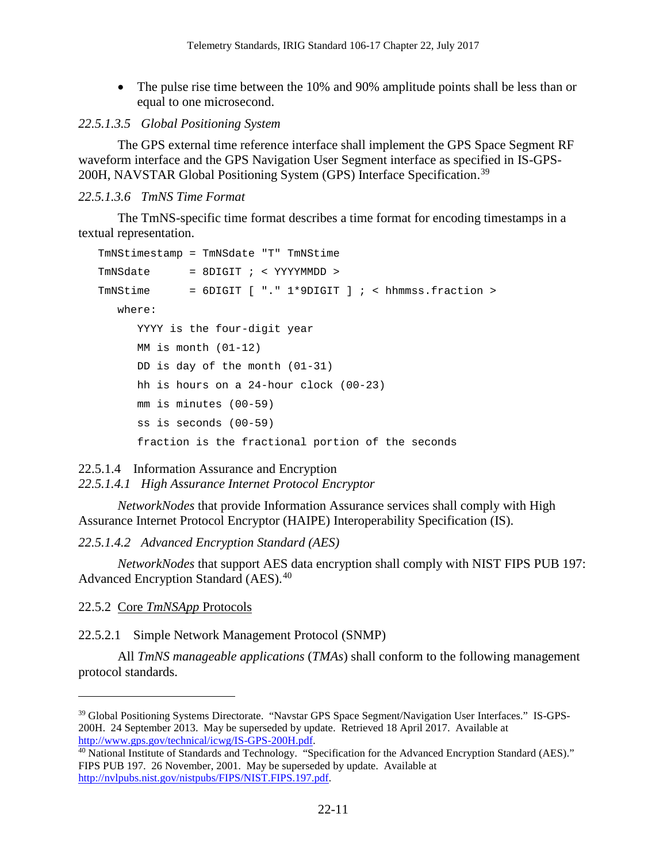• The pulse rise time between the 10% and 90% amplitude points shall be less than or equal to one microsecond.

#### <span id="page-14-1"></span>*22.5.1.3.5 Global Positioning System*

The GPS external time reference interface shall implement the GPS Space Segment RF waveform interface and the GPS Navigation User Segment interface as specified in IS-GPS-200H, NAVSTAR Global Positioning System (GPS) Interface Specification.<sup>[39](#page-14-2)</sup>

#### *22.5.1.3.6 TmNS Time Format*

The TmNS-specific time format describes a time format for encoding timestamps in a textual representation.

```
 TmNStimestamp = TmNSdate "T" TmNStime
 TmNSdate = 8DIGIT ; < YYYYMMDD > 
TmNStime = 6DIGIT [ "." 1*9DIGIT ] ; < hhmmss.fraction >
   where:
       YYYY is the four-digit year 
       MM is month (01-12) 
       DD is day of the month (01-31) 
       hh is hours on a 24-hour clock (00-23) 
       mm is minutes (00-59) 
       ss is seconds (00-59) 
       fraction is the fractional portion of the seconds
```
# 22.5.1.4 Information Assurance and Encryption

*22.5.1.4.1 High Assurance Internet Protocol Encryptor*

*NetworkNodes* that provide Information Assurance services shall comply with High Assurance Internet Protocol Encryptor (HAIPE) Interoperability Specification (IS).

*22.5.1.4.2 Advanced Encryption Standard (AES)*

*NetworkNodes* that support AES data encryption shall comply with NIST FIPS PUB 197: Advanced Encryption Standard (AES).<sup>[40](#page-14-3)</sup>

<span id="page-14-0"></span>22.5.2 Core *TmNSApp* Protocols

 $\overline{a}$ 

22.5.2.1 Simple Network Management Protocol (SNMP)

All *TmNS manageable applications* (*TMAs*) shall conform to the following management protocol standards.

<span id="page-14-2"></span><sup>39</sup> Global Positioning Systems Directorate. "Navstar GPS Space Segment/Navigation User Interfaces." IS-GPS-200H. 24 September 2013. May be superseded by update. Retrieved 18 April 2017. Available at [http://www.gps.gov/technical/icwg/IS-GPS-200H.pdf.](http://www.gps.gov/technical/icwg/IS-GPS-200H.pdf)

<span id="page-14-3"></span><sup>&</sup>lt;sup>40</sup> National Institute of Standards and Technology. "Specification for the Advanced Encryption Standard (AES)." FIPS PUB 197. 26 November, 2001. May be superseded by update. Available at [http://nvlpubs.nist.gov/nistpubs/FIPS/NIST.FIPS.197.pdf.](http://nvlpubs.nist.gov/nistpubs/FIPS/NIST.FIPS.197.pdf)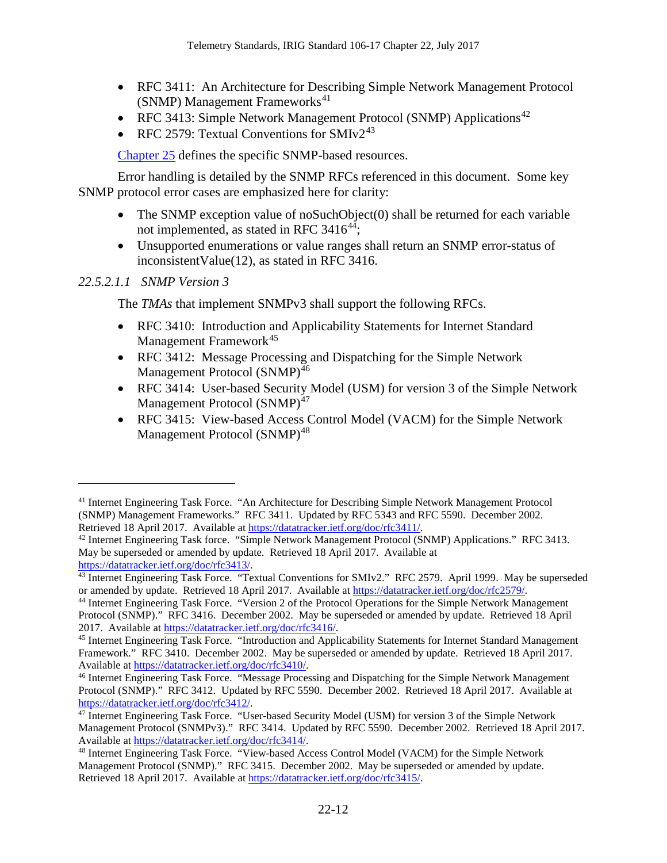- RFC 3411: An Architecture for Describing Simple Network Management Protocol (SNMP) Management Frameworks $41$
- RFC 3413: Simple Network Management Protocol (SNMP) Applications<sup>[42](#page-15-1)</sup>
- RFC 2579: Textual Conventions for  $\text{SMIv2}^{43}$  $\text{SMIv2}^{43}$  $\text{SMIv2}^{43}$

[Chapter 25](http://www.wsmr.army.mil/RCCsite/Documents/106-17_Telemetry_Standards/Chapter25.pdf) defines the specific SNMP-based resources.

Error handling is detailed by the SNMP RFCs referenced in this document. Some key SNMP protocol error cases are emphasized here for clarity:

- The SNMP exception value of noSuchObject(0) shall be returned for each variable not implemented, as stated in RFC  $3416^{44}$ ;
- Unsupported enumerations or value ranges shall return an SNMP error-status of inconsistentValue(12), as stated in RFC 3416.

#### *22.5.2.1.1 SNMP Version 3*

 $\overline{a}$ 

The *TMAs* that implement SNMPv3 shall support the following RFCs.

- RFC 3410: Introduction and Applicability Statements for Internet Standard Management Framework<sup>[45](#page-15-4)</sup>
- RFC 3412: Message Processing and Dispatching for the Simple Network Management Protocol (SNMP)<sup>[46](#page-15-5)</sup>
- RFC 3414: User-based Security Model (USM) for version 3 of the Simple Network Management Protocol (SNMP)<sup>[47](#page-15-6)</sup>
- RFC 3415: View-based Access Control Model (VACM) for the Simple Network Management Protocol (SNMP)<sup>[48](#page-15-7)</sup>

<span id="page-15-0"></span><sup>41</sup> Internet Engineering Task Force. "An Architecture for Describing Simple Network Management Protocol (SNMP) Management Frameworks." RFC 3411. Updated by RFC 5343 and RFC 5590. December 2002. Retrieved 18 April 2017. Available at [https://datatracker.ietf.org/doc/rfc3411/.](https://datatracker.ietf.org/doc/rfc3411/)

<span id="page-15-1"></span><sup>&</sup>lt;sup>42</sup> Internet Engineering Task force. "Simple Network Management Protocol (SNMP) Applications." RFC 3413. May be superseded or amended by update. Retrieved 18 April 2017. Available at [https://datatracker.ietf.org/doc/rfc3413/.](https://datatracker.ietf.org/doc/rfc3413/)

<span id="page-15-2"></span><sup>&</sup>lt;sup>43</sup> Internet Engineering Task Force. "Textual Conventions for SMIv2." RFC 2579. April 1999. May be superseded or amended by update. Retrieved 18 April 2017. Available at [https://datatracker.ietf.org/doc/rfc2579/.](https://datatracker.ietf.org/doc/rfc2579/)

<span id="page-15-3"></span><sup>44</sup> Internet Engineering Task Force. "Version 2 of the Protocol Operations for the Simple Network Management Protocol (SNMP)." RFC 3416. December 2002. May be superseded or amended by update. Retrieved 18 April 2017. Available at [https://datatracker.ietf.org/doc/rfc3416/.](https://datatracker.ietf.org/doc/rfc3416/)

<span id="page-15-4"></span><sup>45</sup> Internet Engineering Task Force. "Introduction and Applicability Statements for Internet Standard Management Framework." RFC 3410. December 2002. May be superseded or amended by update. Retrieved 18 April 2017. Available at [https://datatracker.ietf.org/doc/rfc3410/.](https://datatracker.ietf.org/doc/rfc3410/)

<span id="page-15-5"></span><sup>46</sup> Internet Engineering Task Force. "Message Processing and Dispatching for the Simple Network Management Protocol (SNMP)." RFC 3412. Updated by RFC 5590. December 2002. Retrieved 18 April 2017. Available at [https://datatracker.ietf.org/doc/rfc3412/.](https://datatracker.ietf.org/doc/rfc3412/)

<span id="page-15-6"></span><sup>47</sup> Internet Engineering Task Force. "User-based Security Model (USM) for version 3 of the Simple Network Management Protocol (SNMPv3)." RFC 3414. Updated by RFC 5590. December 2002. Retrieved 18 April 2017. Available at [https://datatracker.ietf.org/doc/rfc3414/.](https://datatracker.ietf.org/doc/rfc3414/)

<span id="page-15-7"></span><sup>48</sup> Internet Engineering Task Force. "View-based Access Control Model (VACM) for the Simple Network Management Protocol (SNMP)." RFC 3415. December 2002. May be superseded or amended by update. Retrieved 18 April 2017. Available at [https://datatracker.ietf.org/doc/rfc3415/.](https://datatracker.ietf.org/doc/rfc3415/)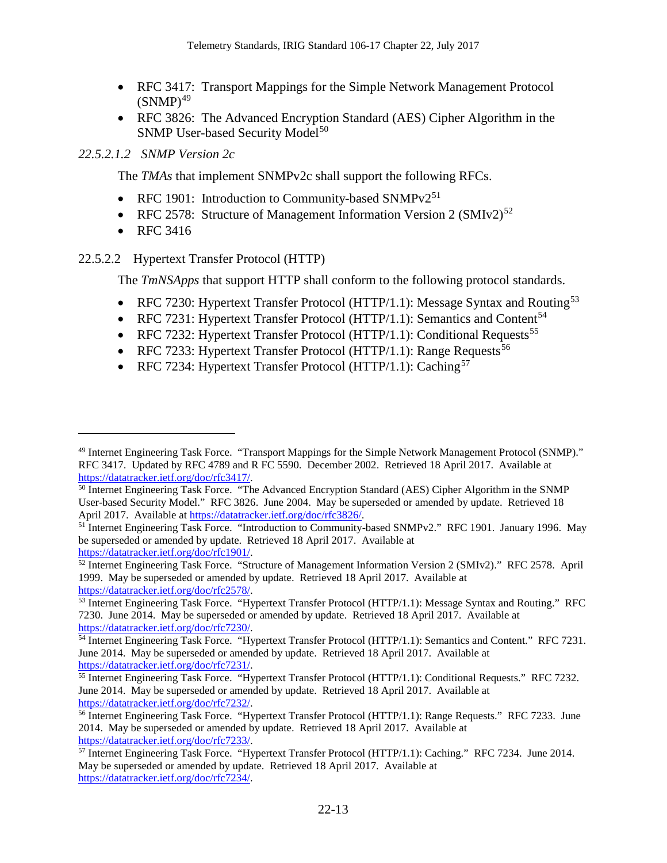- RFC 3417: Transport Mappings for the Simple Network Management Protocol  $(SNMP)^{49}$  $(SNMP)^{49}$  $(SNMP)^{49}$
- RFC 3826: The Advanced Encryption Standard (AES) Cipher Algorithm in the SNMP User-based Security Model<sup>[50](#page-16-1)</sup>

### *22.5.2.1.2 SNMP Version 2c*

The *TMAs* that implement SNMPv2c shall support the following RFCs.

- RFC 1901: Introduction to Community-based SNMPv2 $51$
- RFC 2578: Structure of Management Information Version 2 (SMIv2)<sup>[52](#page-16-3)</sup>
- RFC 3416

 $\overline{a}$ 

## 22.5.2.2 Hypertext Transfer Protocol (HTTP)

The *TmNSApps* that support HTTP shall conform to the following protocol standards.

- RFC 7230: Hypertext Transfer Protocol (HTTP/1.1): Message Syntax and Routing<sup>[53](#page-16-4)</sup>
- RFC 7231: Hypertext Transfer Protocol (HTTP/1.1): Semantics and Content<sup>[54](#page-16-5)</sup>
- RFC 7232: Hypertext Transfer Protocol (HTTP/1.1): Conditional Requests<sup>[55](#page-16-6)</sup>
- RFC 7233: Hypertext Transfer Protocol (HTTP/1.1): Range Requests<sup>[56](#page-16-7)</sup>
- RFC 7234: Hypertext Transfer Protocol (HTTP/1.1): Caching<sup>[57](#page-16-8)</sup>

<span id="page-16-0"></span><sup>49</sup> Internet Engineering Task Force. "Transport Mappings for the Simple Network Management Protocol (SNMP)." RFC 3417. Updated by RFC 4789 and R FC 5590. December 2002. Retrieved 18 April 2017. Available at [https://datatracker.ietf.org/doc/rfc3417/.](https://datatracker.ietf.org/doc/rfc3417/)

<span id="page-16-1"></span><sup>50</sup> Internet Engineering Task Force. "The Advanced Encryption Standard (AES) Cipher Algorithm in the SNMP User-based Security Model." RFC 3826. June 2004. May be superseded or amended by update. Retrieved 18 April 2017. Available at [https://datatracker.ietf.org/doc/rfc3826/.](https://datatracker.ietf.org/doc/rfc3826/)

<span id="page-16-2"></span><sup>&</sup>lt;sup>51</sup> Internet Engineering Task Force. "Introduction to Community-based SNMPv2." RFC 1901. January 1996. May be superseded or amended by update. Retrieved 18 April 2017. Available at [https://datatracker.ietf.org/doc/rfc1901/.](https://datatracker.ietf.org/doc/rfc1901/)

<span id="page-16-3"></span><sup>52</sup> Internet Engineering Task Force. "Structure of Management Information Version 2 (SMIv2)." RFC 2578. April 1999. May be superseded or amended by update. Retrieved 18 April 2017. Available at [https://datatracker.ietf.org/doc/rfc2578/.](https://datatracker.ietf.org/doc/rfc2578/)

<span id="page-16-4"></span><sup>53</sup> Internet Engineering Task Force. "Hypertext Transfer Protocol (HTTP/1.1): Message Syntax and Routing." RFC 7230. June 2014. May be superseded or amended by update. Retrieved 18 April 2017. Available at [https://datatracker.ietf.org/doc/rfc7230/.](https://datatracker.ietf.org/doc/rfc7230/)

<span id="page-16-5"></span><sup>54</sup> Internet Engineering Task Force. "Hypertext Transfer Protocol (HTTP/1.1): Semantics and Content." RFC 7231. June 2014. May be superseded or amended by update. Retrieved 18 April 2017. Available at [https://datatracker.ietf.org/doc/rfc7231/.](https://datatracker.ietf.org/doc/rfc7231/)

<span id="page-16-6"></span><sup>&</sup>lt;sup>55</sup> Internet Engineering Task Force. "Hypertext Transfer Protocol (HTTP/1.1): Conditional Requests." RFC 7232. June 2014. May be superseded or amended by update. Retrieved 18 April 2017. Available at [https://datatracker.ietf.org/doc/rfc7232/.](https://datatracker.ietf.org/doc/rfc7232/)

<span id="page-16-7"></span><sup>56</sup> Internet Engineering Task Force. "Hypertext Transfer Protocol (HTTP/1.1): Range Requests." RFC 7233. June 2014. May be superseded or amended by update. Retrieved 18 April 2017. Available at [https://datatracker.ietf.org/doc/rfc7233/.](https://datatracker.ietf.org/doc/rfc7233/)

<span id="page-16-8"></span><sup>57</sup> Internet Engineering Task Force. "Hypertext Transfer Protocol (HTTP/1.1): Caching." RFC 7234. June 2014. May be superseded or amended by update. Retrieved 18 April 2017. Available at [https://datatracker.ietf.org/doc/rfc7234/.](https://datatracker.ietf.org/doc/rfc7234/)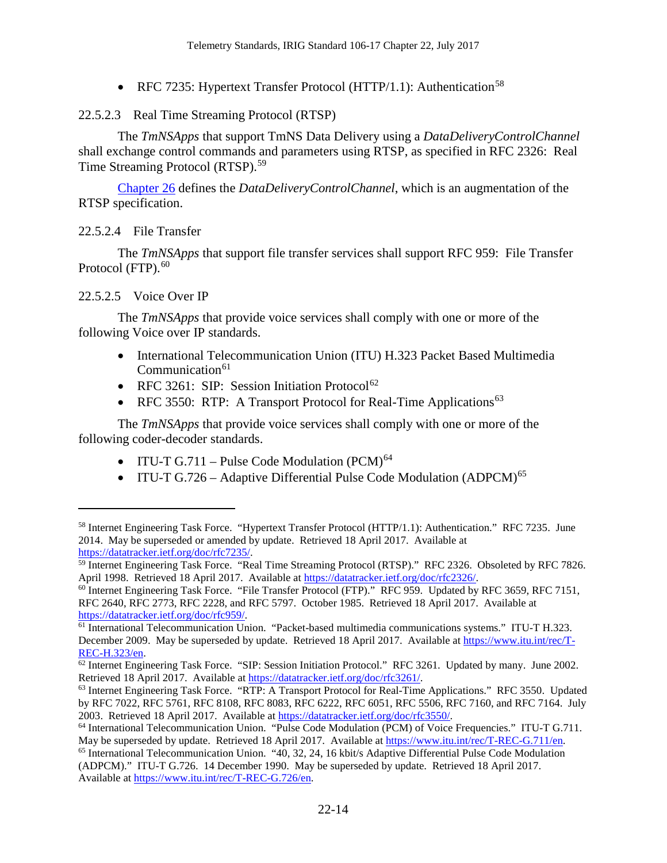• RFC 7235: Hypertext Transfer Protocol (HTTP/1.1): Authentication<sup>[58](#page-17-0)</sup>

## 22.5.2.3 Real Time Streaming Protocol (RTSP)

The *TmNSApps* that support TmNS Data Delivery using a *DataDeliveryControlChannel*  shall exchange control commands and parameters using RTSP, as specified in RFC 2326: Real Time Streaming Protocol (RTSP). [59](#page-17-1)

[Chapter 26](http://www.wsmr.army.mil/RCCsite/Documents/106-17_Telemetry_Standards/Chapter26.pdf) defines the *DataDeliveryControlChannel*, which is an augmentation of the RTSP specification.

#### 22.5.2.4 File Transfer

The *TmNSApps* that support file transfer services shall support RFC 959: File Transfer Protocol (FTP).<sup>[60](#page-17-2)</sup>

#### 22.5.2.5 Voice Over IP

 $\overline{a}$ 

The *TmNSApps* that provide voice services shall comply with one or more of the following Voice over IP standards.

- International Telecommunication Union (ITU) H.323 Packet Based Multimedia  $Commonization<sup>61</sup>$  $Commonization<sup>61</sup>$  $Commonization<sup>61</sup>$
- RFC 3261: SIP: Session Initiation Protocol<sup>[62](#page-17-4)</sup>
- RFC 3550: RTP: A Transport Protocol for Real-Time Applications<sup>[63](#page-17-5)</sup>

The *TmNSApps* that provide voice services shall comply with one or more of the following coder-decoder standards.

- ITU-T G.711 Pulse Code Modulation  $(PCM)^{64}$  $(PCM)^{64}$  $(PCM)^{64}$
- ITU-T G.726 Adaptive Differential Pulse Code Modulation (ADPCM)<sup>[65](#page-17-7)</sup>

<span id="page-17-0"></span><sup>&</sup>lt;sup>58</sup> Internet Engineering Task Force. "Hypertext Transfer Protocol (HTTP/1.1): Authentication." RFC 7235. June 2014. May be superseded or amended by update. Retrieved 18 April 2017. Available at [https://datatracker.ietf.org/doc/rfc7235/.](https://datatracker.ietf.org/doc/rfc7235/)

<span id="page-17-1"></span><sup>&</sup>lt;sup>59</sup> Internet Engineering Task Force. "Real Time Streaming Protocol (RTSP)." RFC 2326. Obsoleted by RFC 7826. April 1998. Retrieved 18 April 2017. Available at [https://datatracker.ietf.org/doc/rfc2326/.](https://datatracker.ietf.org/doc/rfc2326/)

<span id="page-17-2"></span><sup>&</sup>lt;sup>60</sup> Internet Engineering Task Force. "File Transfer Protocol (FTP)." RFC 959. Updated by RFC 3659, RFC 7151, RFC 2640, RFC 2773, RFC 2228, and RFC 5797. October 1985. Retrieved 18 April 2017. Available at [https://datatracker.ietf.org/doc/rfc959/.](https://datatracker.ietf.org/doc/rfc959/)

<span id="page-17-3"></span><sup>61</sup> International Telecommunication Union. "Packet-based multimedia communications systems." ITU-T H.323. December 2009. May be superseded by update. Retrieved 18 April 2017. Available at [https://www.itu.int/rec/T-](https://www.itu.int/rec/T-REC-H.323/en)[REC-H.323/en.](https://www.itu.int/rec/T-REC-H.323/en)

<span id="page-17-4"></span><sup>62</sup> Internet Engineering Task Force. "SIP: Session Initiation Protocol." RFC 3261. Updated by many. June 2002. Retrieved 18 April 2017. Available at [https://datatracker.ietf.org/doc/rfc3261/.](https://datatracker.ietf.org/doc/rfc3261/)

<span id="page-17-5"></span><sup>&</sup>lt;sup>63</sup> Internet Engineering Task Force. "RTP: A Transport Protocol for Real-Time Applications." RFC 3550. Updated by RFC 7022, RFC 5761, RFC 8108, RFC 8083, RFC 6222, RFC 6051, RFC 5506, RFC 7160, and RFC 7164. July 2003. Retrieved 18 April 2017. Available at [https://datatracker.ietf.org/doc/rfc3550/.](https://datatracker.ietf.org/doc/rfc3550/)

<span id="page-17-6"></span><sup>&</sup>lt;sup>64</sup> International Telecommunication Union. "Pulse Code Modulation (PCM) of Voice Frequencies." ITU-T G.711. May be superseded by update. Retrieved 18 April 2017. Available at [https://www.itu.int/rec/T-REC-G.711/en.](https://www.itu.int/rec/T-REC-G.711/en)

<span id="page-17-7"></span><sup>&</sup>lt;sup>65</sup> International Telecommunication Union. "40, 32, 24, 16 kbit/s Adaptive Differential Pulse Code Modulation (ADPCM)." ITU-T G.726. 14 December 1990. May be superseded by update. Retrieved 18 April 2017. Available at [https://www.itu.int/rec/T-REC-G.726/en.](https://www.itu.int/rec/T-REC-G.726/en)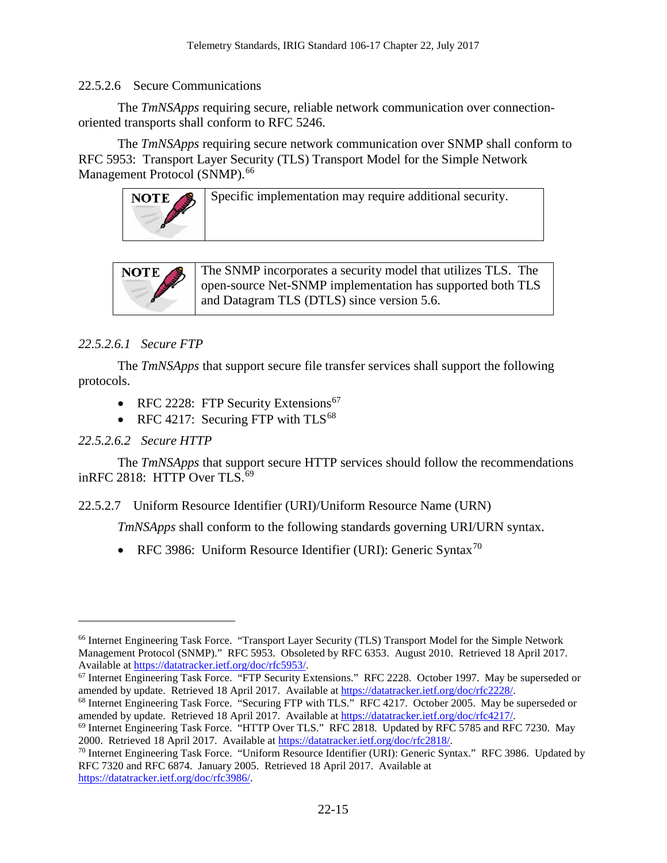#### 22.5.2.6 Secure Communications

The *TmNSApps* requiring secure, reliable network communication over connectionoriented transports shall conform to RFC 5246.

The *TmNSApps* requiring secure network communication over SNMP shall conform to RFC 5953: Transport Layer Security (TLS) Transport Model for the Simple Network Management Protocol (SNMP).<sup>[66](#page-18-0)</sup>





## *22.5.2.6.1 Secure FTP*

The *TmNSApps* that support secure file transfer services shall support the following protocols.

- RFC 2228: FTP Security Extensions<sup>[67](#page-18-1)</sup>
- RFC 4217: Securing FTP with  $TLS^{68}$  $TLS^{68}$  $TLS^{68}$

#### *22.5.2.6.2 Secure HTTP*

 $\overline{a}$ 

The *TmNSApps* that support secure HTTP services should follow the recommendations inRFC 2818: HTTP Over TLS. [69](#page-18-3)

22.5.2.7 Uniform Resource Identifier (URI)/Uniform Resource Name (URN)

*TmNSApps* shall conform to the following standards governing URI/URN syntax.

• RFC 3986: Uniform Resource Identifier (URI): Generic Syntax<sup>[70](#page-18-4)</sup>

<span id="page-18-1"></span><sup>67</sup> Internet Engineering Task Force. "FTP Security Extensions." RFC 2228. October 1997. May be superseded or amended by update. Retrieved 18 April 2017. Available at [https://datatracker.ietf.org/doc/rfc2228/.](https://datatracker.ietf.org/doc/rfc2228/)

<span id="page-18-2"></span><sup>68</sup> Internet Engineering Task Force. "Securing FTP with TLS." RFC 4217. October 2005. May be superseded or amended by update. Retrieved 18 April 2017. Available at [https://datatracker.ietf.org/doc/rfc4217/.](https://datatracker.ietf.org/doc/rfc4217/)

<span id="page-18-0"></span><sup>66</sup> Internet Engineering Task Force. "Transport Layer Security (TLS) Transport Model for the Simple Network Management Protocol (SNMP)." RFC 5953. Obsoleted by RFC 6353. August 2010. Retrieved 18 April 2017. Available at [https://datatracker.ietf.org/doc/rfc5953/.](https://datatracker.ietf.org/doc/rfc5953/)

<span id="page-18-3"></span><sup>69</sup> Internet Engineering Task Force. "HTTP Over TLS." RFC 2818. Updated by RFC 5785 and RFC 7230. May 2000. Retrieved 18 April 2017. Available at [https://datatracker.ietf.org/doc/rfc2818/.](https://datatracker.ietf.org/doc/rfc2818/)

<span id="page-18-4"></span><sup>70</sup> Internet Engineering Task Force. "Uniform Resource Identifier (URI): Generic Syntax." RFC 3986. Updated by RFC 7320 and RFC 6874. January 2005. Retrieved 18 April 2017. Available at [https://datatracker.ietf.org/doc/rfc3986/.](https://datatracker.ietf.org/doc/rfc3986/)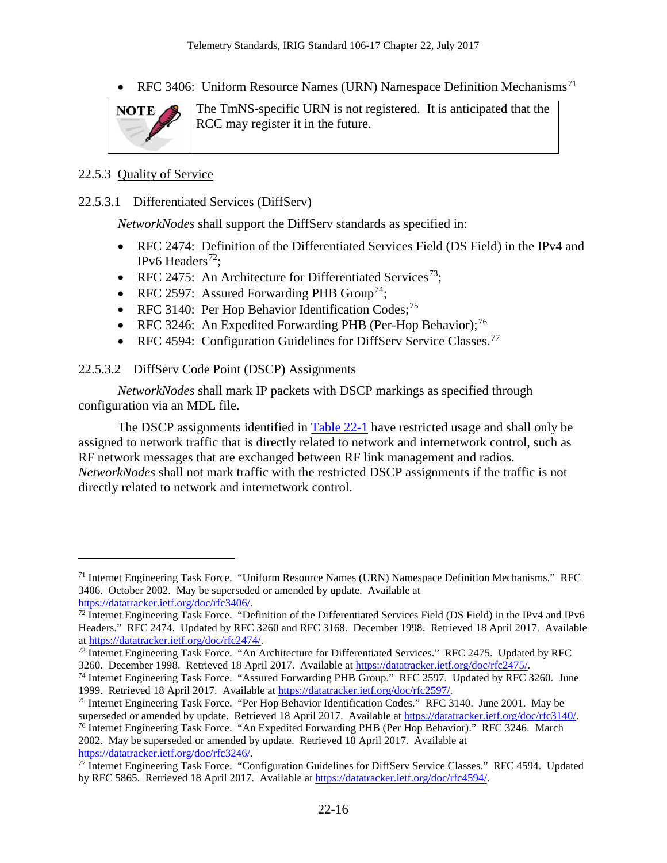• RFC 3406: Uniform Resource Names (URN) Namespace Definition Mechanisms<sup>[71](#page-19-1)</sup>



The TmNS-specific URN is not registered. It is anticipated that the RCC may register it in the future.

## <span id="page-19-0"></span>22.5.3 Quality of Service

#### 22.5.3.1 Differentiated Services (DiffServ)

*NetworkNodes* shall support the DiffServ standards as specified in:

- RFC 2474: Definition of the Differentiated Services Field (DS Field) in the IPv4 and IPv6 Headers<sup>72</sup>;
- RFC 2475: An Architecture for Differentiated Services<sup>[73](#page-19-3)</sup>;
- RFC 2597: Assured Forwarding PHB Group<sup>[74](#page-19-4)</sup>:
- RFC 3140: Per Hop Behavior Identification Codes;<sup>[75](#page-19-5)</sup>
- RFC 3246: An Expedited Forwarding PHB (Per-Hop Behavior);<sup>[76](#page-19-6)</sup>
- RFC 4594: Configuration Guidelines for DiffServ Service Classes.<sup>[77](#page-19-7)</sup>

## 22.5.3.2 DiffServ Code Point (DSCP) Assignments

*NetworkNodes* shall mark IP packets with DSCP markings as specified through configuration via an MDL file.

The DSCP assignments identified in [Table 22-1](#page-20-0) have restricted usage and shall only be assigned to network traffic that is directly related to network and internetwork control, such as RF network messages that are exchanged between RF link management and radios. *NetworkNodes* shall not mark traffic with the restricted DSCP assignments if the traffic is not directly related to network and internetwork control.

<span id="page-19-6"></span>[https://datatracker.ietf.org/doc/rfc3246/.](https://datatracker.ietf.org/doc/rfc3246/)

 $\overline{a}$ 

<span id="page-19-1"></span><sup>71</sup> Internet Engineering Task Force. "Uniform Resource Names (URN) Namespace Definition Mechanisms." RFC 3406. October 2002. May be superseded or amended by update. Available at [https://datatracker.ietf.org/doc/rfc3406/.](https://datatracker.ietf.org/doc/rfc3406/)

<span id="page-19-2"></span> $^{72}$  Internet Engineering Task Force. "Definition of the Differentiated Services Field (DS Field) in the IPv4 and IPv6 Headers." RFC 2474. Updated by RFC 3260 and RFC 3168. December 1998. Retrieved 18 April 2017. Available a[t https://datatracker.ietf.org/doc/rfc2474/.](https://datatracker.ietf.org/doc/rfc2474/)

<span id="page-19-3"></span><sup>&</sup>lt;sup>73</sup> Internet Engineering Task Force. "An Architecture for Differentiated Services." RFC 2475. Updated by RFC 3260. December 1998. Retrieved 18 April 2017. Available a[t https://datatracker.ietf.org/doc/rfc2475/.](https://datatracker.ietf.org/doc/rfc2475/)

<span id="page-19-4"></span><sup>&</sup>lt;sup>74</sup> Internet Engineering Task Force. "Assured Forwarding PHB Group." RFC 2597. Updated by RFC 3260. June 1999. Retrieved 18 April 2017. Available at [https://datatracker.ietf.org/doc/rfc2597/.](https://datatracker.ietf.org/doc/rfc2597/)

<span id="page-19-5"></span><sup>75</sup> Internet Engineering Task Force. "Per Hop Behavior Identification Codes." RFC 3140. June 2001. May be superseded or amended by update. Retrieved 18 April 2017. Available at [https://datatracker.ietf.org/doc/rfc3140/.](https://datatracker.ietf.org/doc/rfc3140/) <sup>76</sup> Internet Engineering Task Force. "An Expedited Forwarding PHB (Per Hop Behavior)." RFC 3246. March 2002. May be superseded or amended by update. Retrieved 18 April 2017. Available at

<span id="page-19-7"></span> $\frac{1}{77}$  Internet Engineering Task Force. "Configuration Guidelines for DiffServ Service Classes." RFC 4594. Updated by RFC 5865. Retrieved 18 April 2017. Available at [https://datatracker.ietf.org/doc/rfc4594/.](https://datatracker.ietf.org/doc/rfc4594/)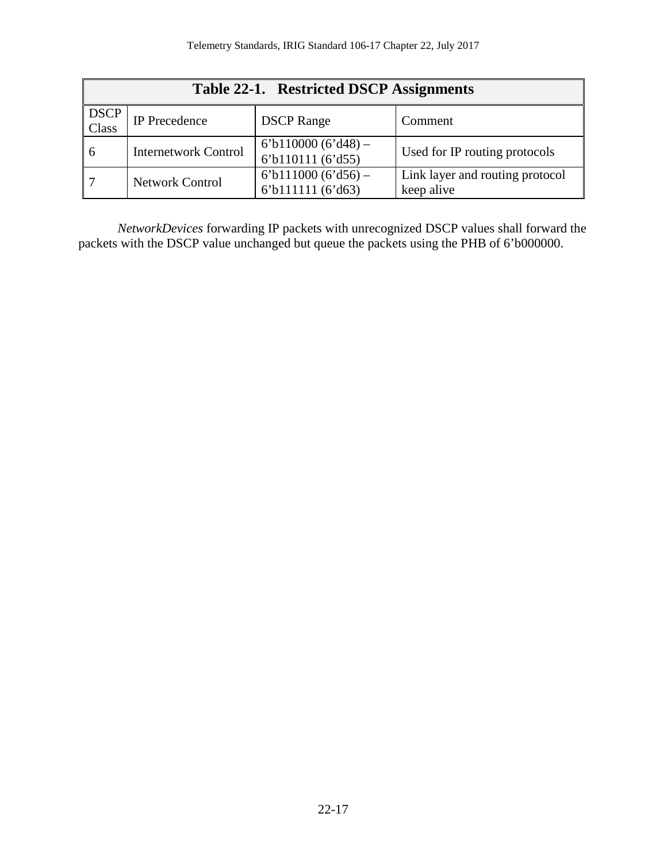<span id="page-20-0"></span>

| Table 22-1. Restricted DSCP Assignments |                             |                                                      |                                               |
|-----------------------------------------|-----------------------------|------------------------------------------------------|-----------------------------------------------|
| <b>DSCP</b><br>Class                    | <b>IP</b> Precedence        | <b>DSCP</b> Range                                    | Comment                                       |
| -6                                      | <b>Internetwork Control</b> | 6'b110000 $(6'dd8)$ –<br>6'b110111 (6'd55)           | Used for IP routing protocols                 |
|                                         | <b>Network Control</b>      | 6'b111000 $(6' d56)$ –<br>$6$ 'b $111111(6$ 'd $63)$ | Link layer and routing protocol<br>keep alive |

*NetworkDevices* forwarding IP packets with unrecognized DSCP values shall forward the packets with the DSCP value unchanged but queue the packets using the PHB of 6'b000000.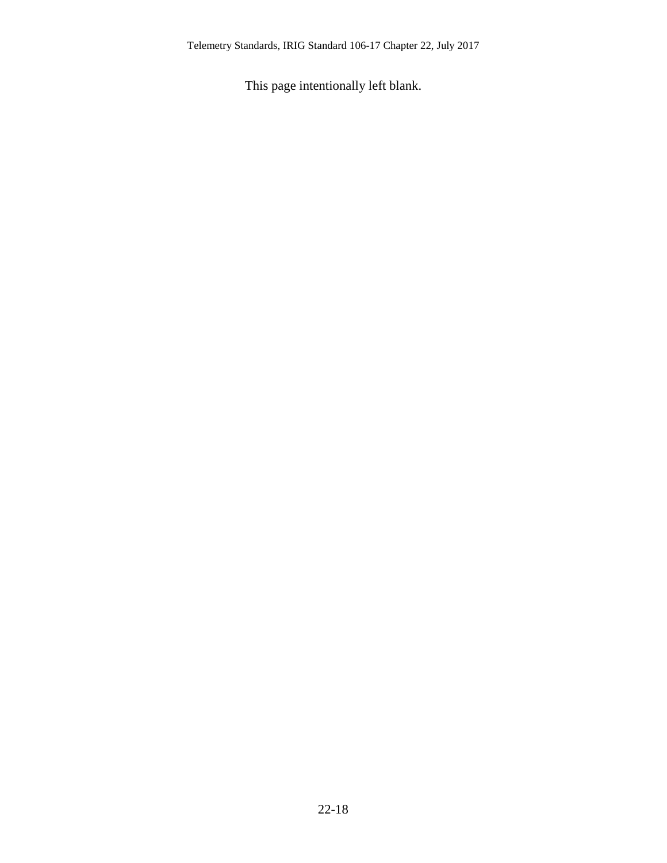This page intentionally left blank.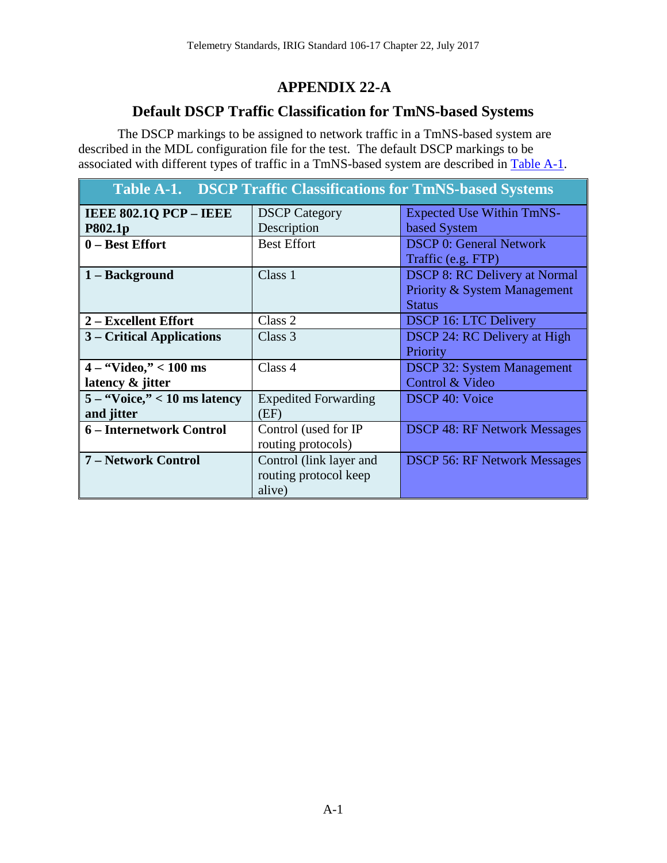# <span id="page-22-0"></span>**APPENDIX 22-A**

# **Default DSCP Traffic Classification for TmNS-based Systems**

The DSCP markings to be assigned to network traffic in a TmNS-based system are described in the MDL configuration file for the test. The default DSCP markings to be associated with different types of traffic in a TmNS-based system are described in [Table A-1.](#page-22-1)

<span id="page-22-1"></span>

| <b>Table A-1. DSCP Traffic Classifications for TmNS-based Systems</b> |                             |                                      |  |
|-----------------------------------------------------------------------|-----------------------------|--------------------------------------|--|
| IEEE 802.1Q PCP - IEEE                                                | <b>DSCP</b> Category        | <b>Expected Use Within TmNS-</b>     |  |
| P802.1p                                                               | Description                 | based System                         |  |
| $0 - Best$ Effort                                                     | <b>Best Effort</b>          | <b>DSCP 0: General Network</b>       |  |
|                                                                       |                             | Traffic (e.g. FTP)                   |  |
| 1 – Background                                                        | Class 1                     | <b>DSCP 8: RC Delivery at Normal</b> |  |
|                                                                       |                             | Priority & System Management         |  |
|                                                                       |                             | <b>Status</b>                        |  |
| 2 – Excellent Effort                                                  | Class 2                     | <b>DSCP 16: LTC Delivery</b>         |  |
| 3 – Critical Applications                                             | Class 3                     | <b>DSCP 24: RC Delivery at High</b>  |  |
|                                                                       |                             | Priority                             |  |
| $4 -$ "Video," < 100 ms                                               | Class 4                     | <b>DSCP 32: System Management</b>    |  |
| latency & jitter                                                      |                             | Control & Video                      |  |
| $5 -$ "Voice," < 10 ms latency                                        | <b>Expedited Forwarding</b> | <b>DSCP 40: Voice</b>                |  |
| and jitter                                                            | (EF)                        |                                      |  |
| 6 – Internetwork Control                                              | Control (used for IP        | <b>DSCP 48: RF Network Messages</b>  |  |
|                                                                       | routing protocols)          |                                      |  |
| 7 – Network Control                                                   | Control (link layer and     | <b>DSCP 56: RF Network Messages</b>  |  |
|                                                                       | routing protocol keep       |                                      |  |
|                                                                       | alive)                      |                                      |  |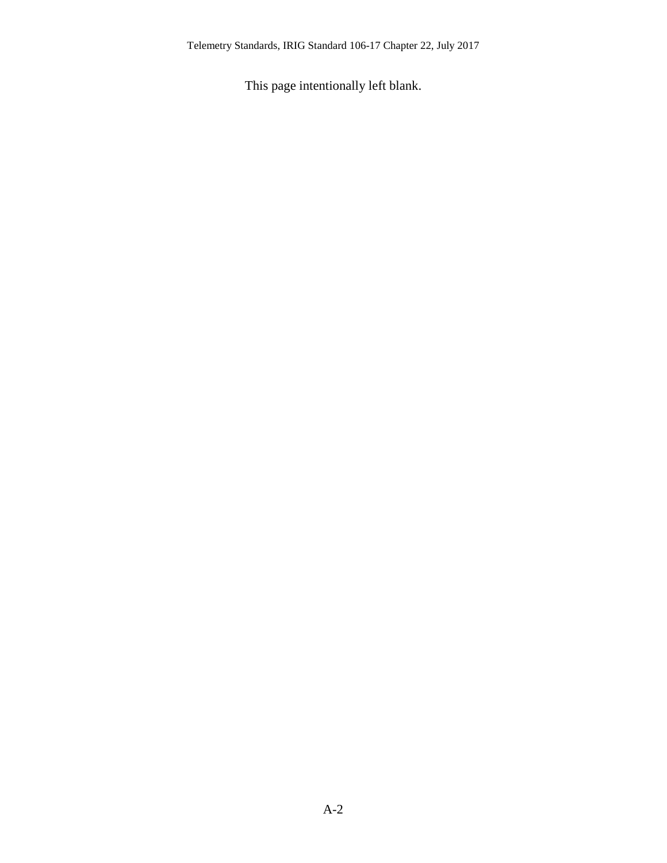This page intentionally left blank.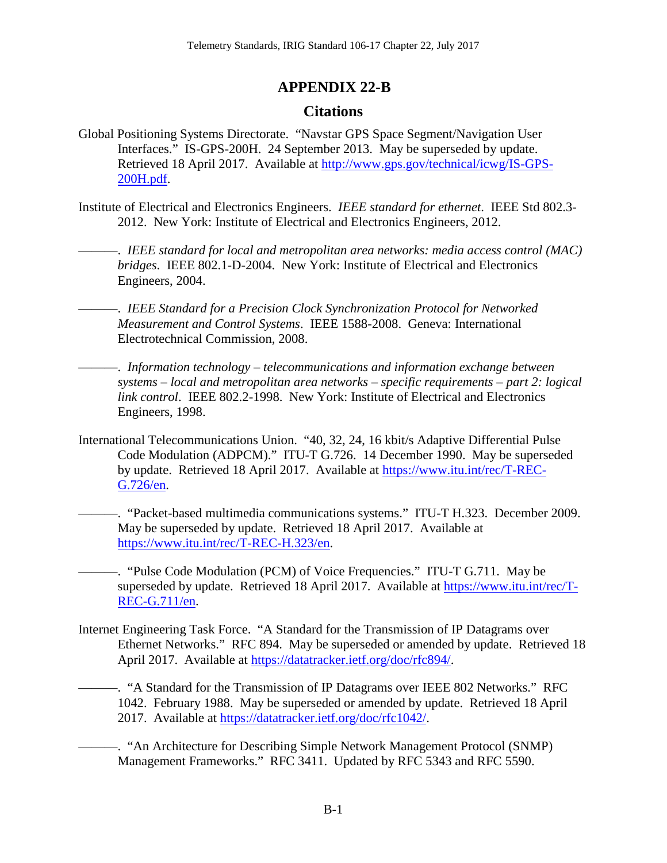# **APPENDIX 22-B**

### <span id="page-24-0"></span>**Citations**

- Global Positioning Systems Directorate. "Navstar GPS Space Segment/Navigation User Interfaces." IS-GPS-200H. 24 September 2013. May be superseded by update. Retrieved 18 April 2017. Available at [http://www.gps.gov/technical/icwg/IS-GPS-](http://www.gps.gov/technical/icwg/IS-GPS-200H.pdf)[200H.pdf.](http://www.gps.gov/technical/icwg/IS-GPS-200H.pdf)
- Institute of Electrical and Electronics Engineers. *IEEE standard for ethernet*. IEEE Std 802.3- 2012. New York: Institute of Electrical and Electronics Engineers, 2012.
	- ———. *IEEE standard for local and metropolitan area networks: media access control (MAC) bridges*. IEEE 802.1-D-2004. New York: Institute of Electrical and Electronics Engineers, 2004.
	- ———. *IEEE Standard for a Precision Clock Synchronization Protocol for Networked Measurement and Control Systems*. IEEE 1588-2008. Geneva: International Electrotechnical Commission, 2008.
	- ———. *Information technology – telecommunications and information exchange between systems – local and metropolitan area networks – specific requirements – part 2: logical link control*. IEEE 802.2-1998. New York: Institute of Electrical and Electronics Engineers, 1998.
- International Telecommunications Union. "40, 32, 24, 16 kbit/s Adaptive Differential Pulse Code Modulation (ADPCM)." ITU-T G.726. 14 December 1990. May be superseded by update. Retrieved 18 April 2017. Available at [https://www.itu.int/rec/T-REC-](https://www.itu.int/rec/T-REC-G.726/en)[G.726/en.](https://www.itu.int/rec/T-REC-G.726/en)
	- ———. "Packet-based multimedia communications systems." ITU-T H.323. December 2009. May be superseded by update. Retrieved 18 April 2017. Available at [https://www.itu.int/rec/T-REC-H.323/en.](https://www.itu.int/rec/T-REC-H.323/en)
	- ———. "Pulse Code Modulation (PCM) of Voice Frequencies." ITU-T G.711. May be superseded by update. Retrieved 18 April 2017. Available at [https://www.itu.int/rec/T-](https://www.itu.int/rec/T-REC-G.711/en)[REC-G.711/en.](https://www.itu.int/rec/T-REC-G.711/en)
- Internet Engineering Task Force. "A Standard for the Transmission of IP Datagrams over Ethernet Networks." RFC 894. May be superseded or amended by update. Retrieved 18 April 2017. Available at [https://datatracker.ietf.org/doc/rfc894/.](https://datatracker.ietf.org/doc/rfc894/)
	- -. "A Standard for the Transmission of IP Datagrams over IEEE 802 Networks." RFC 1042. February 1988. May be superseded or amended by update. Retrieved 18 April 2017. Available at [https://datatracker.ietf.org/doc/rfc1042/.](https://datatracker.ietf.org/doc/rfc1042/)
	- ———. "An Architecture for Describing Simple Network Management Protocol (SNMP) Management Frameworks." RFC 3411. Updated by RFC 5343 and RFC 5590.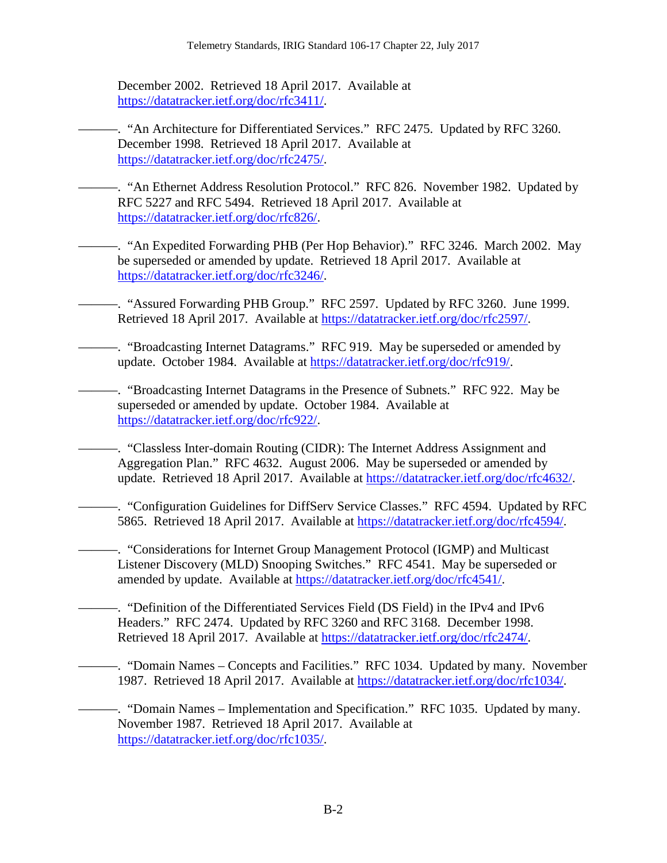December 2002. Retrieved 18 April 2017. Available at [https://datatracker.ietf.org/doc/rfc3411/.](https://datatracker.ietf.org/doc/rfc3411/)

———. "An Architecture for Differentiated Services." RFC 2475. Updated by RFC 3260. December 1998. Retrieved 18 April 2017. Available at [https://datatracker.ietf.org/doc/rfc2475/.](https://datatracker.ietf.org/doc/rfc2475/)

———. "An Ethernet Address Resolution Protocol." RFC 826. November 1982. Updated by RFC 5227 and RFC 5494. Retrieved 18 April 2017. Available at [https://datatracker.ietf.org/doc/rfc826/.](https://datatracker.ietf.org/doc/rfc826/)

———. "An Expedited Forwarding PHB (Per Hop Behavior)." RFC 3246. March 2002. May be superseded or amended by update. Retrieved 18 April 2017. Available at [https://datatracker.ietf.org/doc/rfc3246/.](https://datatracker.ietf.org/doc/rfc3246/)

———. "Assured Forwarding PHB Group." RFC 2597. Updated by RFC 3260. June 1999. Retrieved 18 April 2017. Available at [https://datatracker.ietf.org/doc/rfc2597/.](https://datatracker.ietf.org/doc/rfc2597/)

———. "Broadcasting Internet Datagrams." RFC 919. May be superseded or amended by update. October 1984. Available at [https://datatracker.ietf.org/doc/rfc919/.](https://datatracker.ietf.org/doc/rfc919/)

———. "Broadcasting Internet Datagrams in the Presence of Subnets." RFC 922. May be superseded or amended by update. October 1984. Available at [https://datatracker.ietf.org/doc/rfc922/.](https://datatracker.ietf.org/doc/rfc922/)

———. "Classless Inter-domain Routing (CIDR): The Internet Address Assignment and Aggregation Plan." RFC 4632. August 2006. May be superseded or amended by update. Retrieved 18 April 2017. Available at [https://datatracker.ietf.org/doc/rfc4632/.](https://datatracker.ietf.org/doc/rfc4632/)

———. "Configuration Guidelines for DiffServ Service Classes." RFC 4594. Updated by RFC 5865. Retrieved 18 April 2017. Available at [https://datatracker.ietf.org/doc/rfc4594/.](https://datatracker.ietf.org/doc/rfc4594/)

———. "Considerations for Internet Group Management Protocol (IGMP) and Multicast Listener Discovery (MLD) Snooping Switches." RFC 4541. May be superseded or amended by update. Available at [https://datatracker.ietf.org/doc/rfc4541/.](https://datatracker.ietf.org/doc/rfc4541/)

———. "Definition of the Differentiated Services Field (DS Field) in the IPv4 and IPv6 Headers." RFC 2474. Updated by RFC 3260 and RFC 3168. December 1998. Retrieved 18 April 2017. Available at [https://datatracker.ietf.org/doc/rfc2474/.](https://datatracker.ietf.org/doc/rfc2474/)

———. "Domain Names – Concepts and Facilities." RFC 1034. Updated by many. November 1987. Retrieved 18 April 2017. Available at [https://datatracker.ietf.org/doc/rfc1034/.](https://datatracker.ietf.org/doc/rfc1034/)

———. "Domain Names – Implementation and Specification." RFC 1035. Updated by many. November 1987. Retrieved 18 April 2017. Available at [https://datatracker.ietf.org/doc/rfc1035/.](https://datatracker.ietf.org/doc/rfc1035/)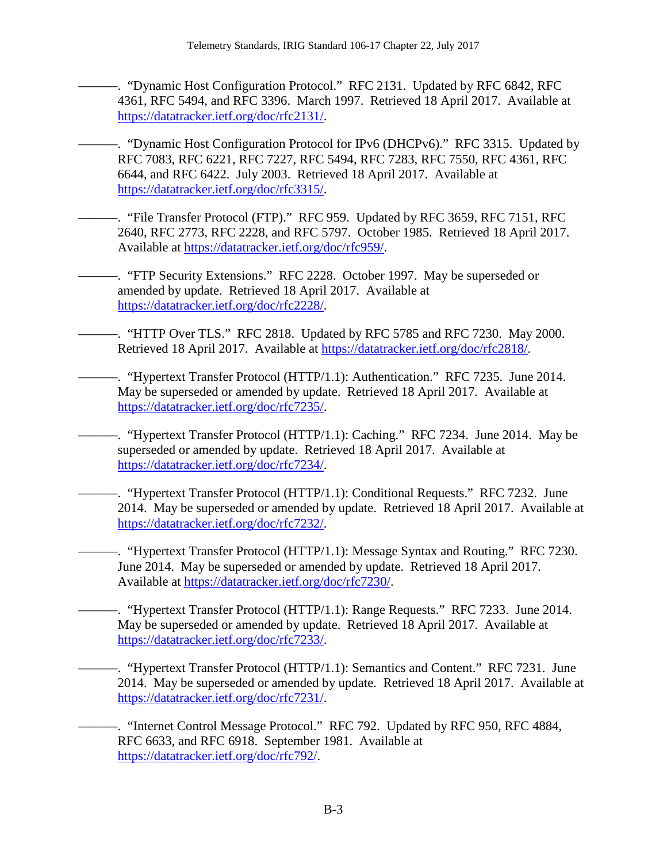———. "Dynamic Host Configuration Protocol." RFC 2131. Updated by RFC 6842, RFC 4361, RFC 5494, and RFC 3396. March 1997. Retrieved 18 April 2017. Available at [https://datatracker.ietf.org/doc/rfc2131/.](https://datatracker.ietf.org/doc/rfc2131/)

- -. "Dynamic Host Configuration Protocol for IPv6 (DHCPv6)." RFC 3315. Updated by RFC 7083, RFC 6221, RFC 7227, RFC 5494, RFC 7283, RFC 7550, RFC 4361, RFC 6644, and RFC 6422. July 2003. Retrieved 18 April 2017. Available at [https://datatracker.ietf.org/doc/rfc3315/.](https://datatracker.ietf.org/doc/rfc3315/)
- ———. "File Transfer Protocol (FTP)." RFC 959. Updated by RFC 3659, RFC 7151, RFC 2640, RFC 2773, RFC 2228, and RFC 5797. October 1985. Retrieved 18 April 2017. Available at [https://datatracker.ietf.org/doc/rfc959/.](https://datatracker.ietf.org/doc/rfc959/)
- ———. "FTP Security Extensions." RFC 2228. October 1997. May be superseded or amended by update. Retrieved 18 April 2017. Available at [https://datatracker.ietf.org/doc/rfc2228/.](https://datatracker.ietf.org/doc/rfc2228/)
	- ———. "HTTP Over TLS." RFC 2818. Updated by RFC 5785 and RFC 7230. May 2000. Retrieved 18 April 2017. Available at [https://datatracker.ietf.org/doc/rfc2818/.](https://datatracker.ietf.org/doc/rfc2818/)

———. "Hypertext Transfer Protocol (HTTP/1.1): Authentication." RFC 7235. June 2014. May be superseded or amended by update. Retrieved 18 April 2017. Available at [https://datatracker.ietf.org/doc/rfc7235/.](https://datatracker.ietf.org/doc/rfc7235/)

———. "Hypertext Transfer Protocol (HTTP/1.1): Caching." RFC 7234. June 2014. May be superseded or amended by update. Retrieved 18 April 2017. Available at [https://datatracker.ietf.org/doc/rfc7234/.](https://datatracker.ietf.org/doc/rfc7234/)

———. "Hypertext Transfer Protocol (HTTP/1.1): Conditional Requests." RFC 7232. June 2014. May be superseded or amended by update. Retrieved 18 April 2017. Available at [https://datatracker.ietf.org/doc/rfc7232/.](https://datatracker.ietf.org/doc/rfc7232/)

———. "Hypertext Transfer Protocol (HTTP/1.1): Message Syntax and Routing." RFC 7230. June 2014. May be superseded or amended by update. Retrieved 18 April 2017. Available at [https://datatracker.ietf.org/doc/rfc7230/.](https://datatracker.ietf.org/doc/rfc7230/)

———. "Hypertext Transfer Protocol (HTTP/1.1): Range Requests." RFC 7233. June 2014. May be superseded or amended by update. Retrieved 18 April 2017. Available at [https://datatracker.ietf.org/doc/rfc7233/.](https://datatracker.ietf.org/doc/rfc7233/)

-. "Hypertext Transfer Protocol (HTTP/1.1): Semantics and Content." RFC 7231. June 2014. May be superseded or amended by update. Retrieved 18 April 2017. Available at [https://datatracker.ietf.org/doc/rfc7231/.](https://datatracker.ietf.org/doc/rfc7231/)

———. "Internet Control Message Protocol." RFC 792. Updated by RFC 950, RFC 4884, RFC 6633, and RFC 6918. September 1981. Available at [https://datatracker.ietf.org/doc/rfc792/.](https://datatracker.ietf.org/doc/rfc792/)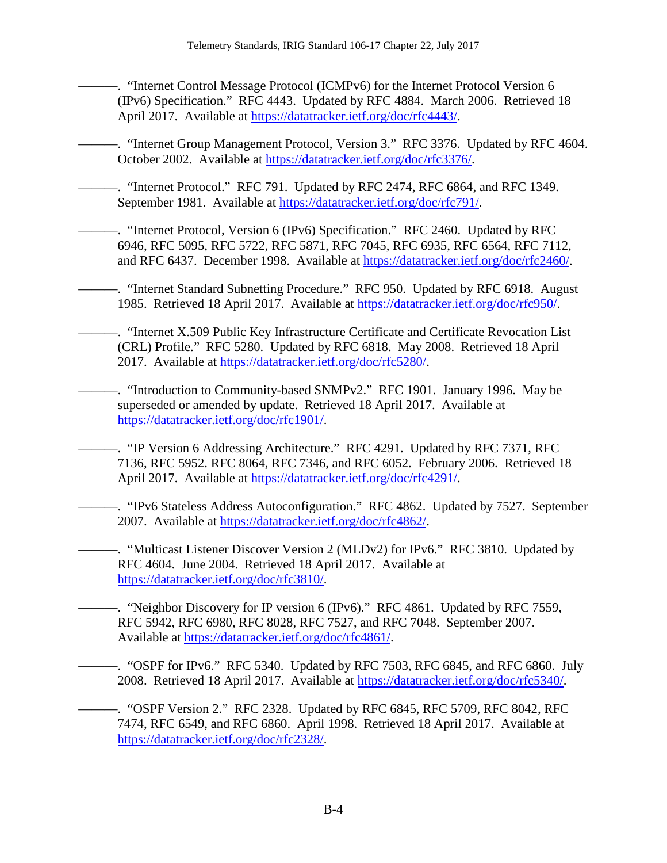———. "Internet Control Message Protocol (ICMPv6) for the Internet Protocol Version 6 (IPv6) Specification." RFC 4443. Updated by RFC 4884. March 2006. Retrieved 18 April 2017. Available at [https://datatracker.ietf.org/doc/rfc4443/.](https://datatracker.ietf.org/doc/rfc4443/)

———. "Internet Group Management Protocol, Version 3." RFC 3376. Updated by RFC 4604. October 2002. Available at [https://datatracker.ietf.org/doc/rfc3376/.](https://datatracker.ietf.org/doc/rfc3376/)

———. "Internet Protocol." RFC 791. Updated by RFC 2474, RFC 6864, and RFC 1349. September 1981. Available at [https://datatracker.ietf.org/doc/rfc791/.](https://datatracker.ietf.org/doc/rfc791/)

———. "Internet Protocol, Version 6 (IPv6) Specification." RFC 2460. Updated by RFC 6946, RFC 5095, RFC 5722, RFC 5871, RFC 7045, RFC 6935, RFC 6564, RFC 7112, and RFC 6437. December 1998. Available at [https://datatracker.ietf.org/doc/rfc2460/.](https://datatracker.ietf.org/doc/rfc2460/)

- ———. "Internet Standard Subnetting Procedure." RFC 950. Updated by RFC 6918. August 1985. Retrieved 18 April 2017. Available at [https://datatracker.ietf.org/doc/rfc950/.](https://datatracker.ietf.org/doc/rfc950/)
- ———. "Internet X.509 Public Key Infrastructure Certificate and Certificate Revocation List (CRL) Profile." RFC 5280. Updated by RFC 6818. May 2008. Retrieved 18 April 2017. Available at [https://datatracker.ietf.org/doc/rfc5280/.](https://datatracker.ietf.org/doc/rfc5280/)
- ———. "Introduction to Community-based SNMPv2." RFC 1901. January 1996. May be superseded or amended by update. Retrieved 18 April 2017. Available at [https://datatracker.ietf.org/doc/rfc1901/.](https://datatracker.ietf.org/doc/rfc1901/)
	- ———. "IP Version 6 Addressing Architecture." RFC 4291. Updated by RFC 7371, RFC 7136, RFC 5952. RFC 8064, RFC 7346, and RFC 6052. February 2006. Retrieved 18 April 2017. Available at [https://datatracker.ietf.org/doc/rfc4291/.](https://datatracker.ietf.org/doc/rfc4291/)
	- ———. "IPv6 Stateless Address Autoconfiguration." RFC 4862. Updated by 7527. September 2007. Available at [https://datatracker.ietf.org/doc/rfc4862/.](https://datatracker.ietf.org/doc/rfc4862/)

———. "Multicast Listener Discover Version 2 (MLDv2) for IPv6." RFC 3810. Updated by RFC 4604. June 2004. Retrieved 18 April 2017. Available at [https://datatracker.ietf.org/doc/rfc3810/.](https://datatracker.ietf.org/doc/rfc3810/)

———. "Neighbor Discovery for IP version 6 (IPv6)." RFC 4861. Updated by RFC 7559, RFC 5942, RFC 6980, RFC 8028, RFC 7527, and RFC 7048. September 2007. Available at [https://datatracker.ietf.org/doc/rfc4861/.](https://datatracker.ietf.org/doc/rfc4861/)

———. "OSPF for IPv6." RFC 5340. Updated by RFC 7503, RFC 6845, and RFC 6860. July 2008. Retrieved 18 April 2017. Available at [https://datatracker.ietf.org/doc/rfc5340/.](https://datatracker.ietf.org/doc/rfc5340/)

———. "OSPF Version 2." RFC 2328. Updated by RFC 6845, RFC 5709, RFC 8042, RFC 7474, RFC 6549, and RFC 6860. April 1998. Retrieved 18 April 2017. Available at [https://datatracker.ietf.org/doc/rfc2328/.](https://datatracker.ietf.org/doc/rfc2328/)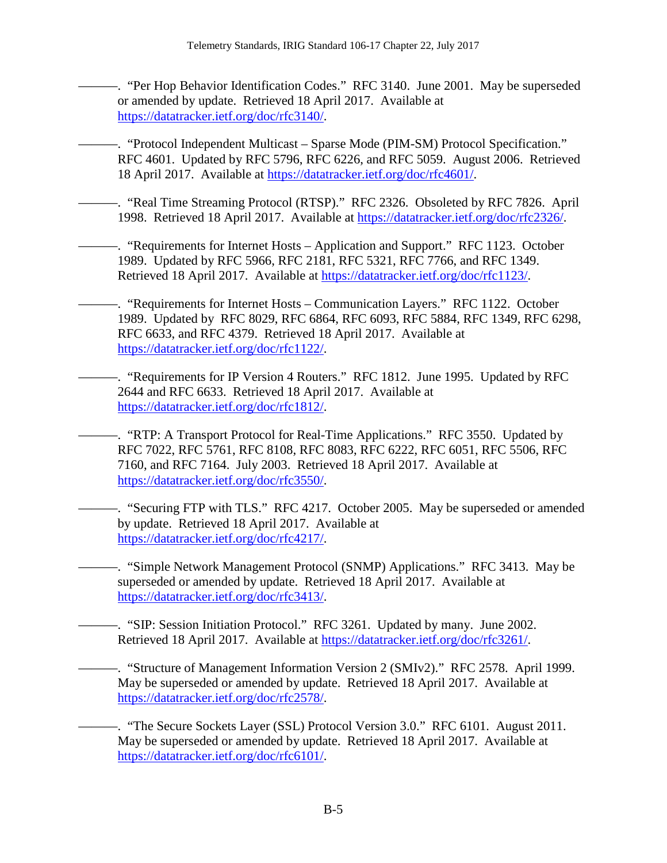———. "Per Hop Behavior Identification Codes." RFC 3140. June 2001. May be superseded or amended by update. Retrieved 18 April 2017. Available at [https://datatracker.ietf.org/doc/rfc3140/.](https://datatracker.ietf.org/doc/rfc3140/)

———. "Protocol Independent Multicast – Sparse Mode (PIM-SM) Protocol Specification." RFC 4601. Updated by RFC 5796, RFC 6226, and RFC 5059. August 2006. Retrieved 18 April 2017. Available at [https://datatracker.ietf.org/doc/rfc4601/.](https://datatracker.ietf.org/doc/rfc4601/)

———. "Real Time Streaming Protocol (RTSP)." RFC 2326. Obsoleted by RFC 7826. April 1998. Retrieved 18 April 2017. Available at [https://datatracker.ietf.org/doc/rfc2326/.](https://datatracker.ietf.org/doc/rfc2326/)

———. "Requirements for Internet Hosts – Application and Support." RFC 1123. October 1989. Updated by RFC 5966, RFC 2181, RFC 5321, RFC 7766, and RFC 1349. Retrieved 18 April 2017. Available at [https://datatracker.ietf.org/doc/rfc1123/.](https://datatracker.ietf.org/doc/rfc1123/)

- ———. "Requirements for Internet Hosts Communication Layers." RFC 1122. October 1989. Updated by RFC 8029, RFC 6864, RFC 6093, RFC 5884, RFC 1349, RFC 6298, RFC 6633, and RFC 4379. Retrieved 18 April 2017. Available at [https://datatracker.ietf.org/doc/rfc1122/.](https://datatracker.ietf.org/doc/rfc1122/)
- ———. "Requirements for IP Version 4 Routers." RFC 1812. June 1995. Updated by RFC 2644 and RFC 6633. Retrieved 18 April 2017. Available at [https://datatracker.ietf.org/doc/rfc1812/.](https://datatracker.ietf.org/doc/rfc1812/)

-. "RTP: A Transport Protocol for Real-Time Applications." RFC 3550. Updated by RFC 7022, RFC 5761, RFC 8108, RFC 8083, RFC 6222, RFC 6051, RFC 5506, RFC 7160, and RFC 7164. July 2003. Retrieved 18 April 2017. Available at [https://datatracker.ietf.org/doc/rfc3550/.](https://datatracker.ietf.org/doc/rfc3550/)

-. "Securing FTP with TLS." RFC 4217. October 2005. May be superseded or amended by update. Retrieved 18 April 2017. Available at [https://datatracker.ietf.org/doc/rfc4217/.](https://datatracker.ietf.org/doc/rfc4217/)

———. "Simple Network Management Protocol (SNMP) Applications." RFC 3413. May be superseded or amended by update. Retrieved 18 April 2017. Available at [https://datatracker.ietf.org/doc/rfc3413/.](https://datatracker.ietf.org/doc/rfc3413/)

———. "SIP: Session Initiation Protocol." RFC 3261. Updated by many. June 2002. Retrieved 18 April 2017. Available at [https://datatracker.ietf.org/doc/rfc3261/.](https://datatracker.ietf.org/doc/rfc3261/)

———. "Structure of Management Information Version 2 (SMIv2)." RFC 2578. April 1999. May be superseded or amended by update. Retrieved 18 April 2017. Available at [https://datatracker.ietf.org/doc/rfc2578/.](https://datatracker.ietf.org/doc/rfc2578/)

———. "The Secure Sockets Layer (SSL) Protocol Version 3.0." RFC 6101. August 2011. May be superseded or amended by update. Retrieved 18 April 2017. Available at [https://datatracker.ietf.org/doc/rfc6101/.](https://datatracker.ietf.org/doc/rfc6101/)